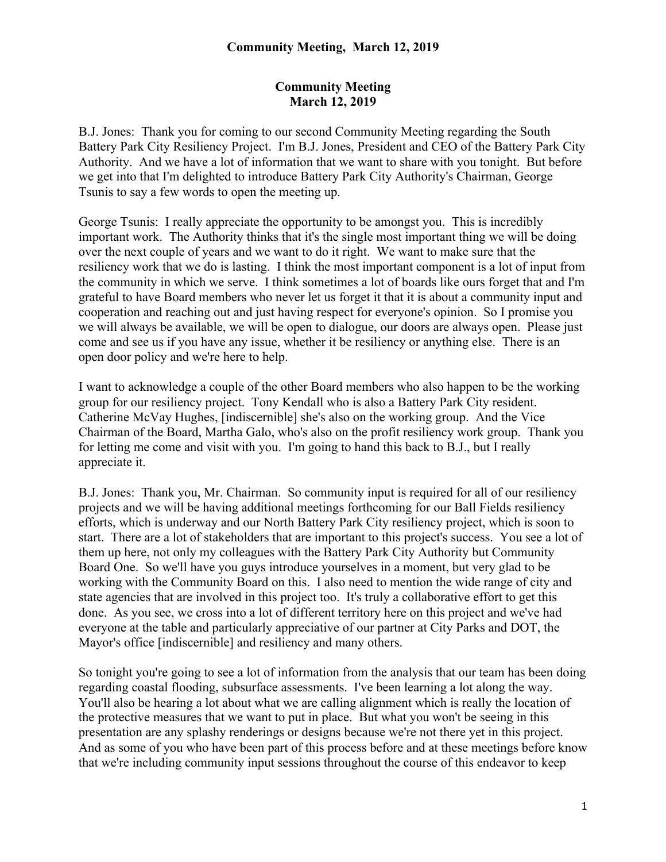B.J. Jones: Thank you for coming to our second Community Meeting regarding the South Battery Park City Resiliency Project. I'm B.J. Jones, President and CEO of the Battery Park City Authority. And we have a lot of information that we want to share with you tonight. But before we get into that I'm delighted to introduce Battery Park City Authority's Chairman, George Tsunis to say a few words to open the meeting up.

George Tsunis: I really appreciate the opportunity to be amongst you. This is incredibly important work. The Authority thinks that it's the single most important thing we will be doing over the next couple of years and we want to do it right. We want to make sure that the resiliency work that we do is lasting. I think the most important component is a lot of input from the community in which we serve. I think sometimes a lot of boards like ours forget that and I'm grateful to have Board members who never let us forget it that it is about a community input and cooperation and reaching out and just having respect for everyone's opinion. So I promise you we will always be available, we will be open to dialogue, our doors are always open. Please just come and see us if you have any issue, whether it be resiliency or anything else. There is an open door policy and we're here to help.

I want to acknowledge a couple of the other Board members who also happen to be the working group for our resiliency project. Tony Kendall who is also a Battery Park City resident. Catherine McVay Hughes, [indiscernible] she's also on the working group. And the Vice Chairman of the Board, Martha Galo, who's also on the profit resiliency work group. Thank you for letting me come and visit with you. I'm going to hand this back to B.J., but I really appreciate it.

B.J. Jones: Thank you, Mr. Chairman. So community input is required for all of our resiliency projects and we will be having additional meetings forthcoming for our Ball Fields resiliency efforts, which is underway and our North Battery Park City resiliency project, which is soon to start. There are a lot of stakeholders that are important to this project's success. You see a lot of them up here, not only my colleagues with the Battery Park City Authority but Community Board One. So we'll have you guys introduce yourselves in a moment, but very glad to be working with the Community Board on this. I also need to mention the wide range of city and state agencies that are involved in this project too. It's truly a collaborative effort to get this done. As you see, we cross into a lot of different territory here on this project and we've had everyone at the table and particularly appreciative of our partner at City Parks and DOT, the Mayor's office [indiscernible] and resiliency and many others.

So tonight you're going to see a lot of information from the analysis that our team has been doing regarding coastal flooding, subsurface assessments. I've been learning a lot along the way. You'll also be hearing a lot about what we are calling alignment which is really the location of the protective measures that we want to put in place. But what you won't be seeing in this presentation are any splashy renderings or designs because we're not there yet in this project. And as some of you who have been part of this process before and at these meetings before know that we're including community input sessions throughout the course of this endeavor to keep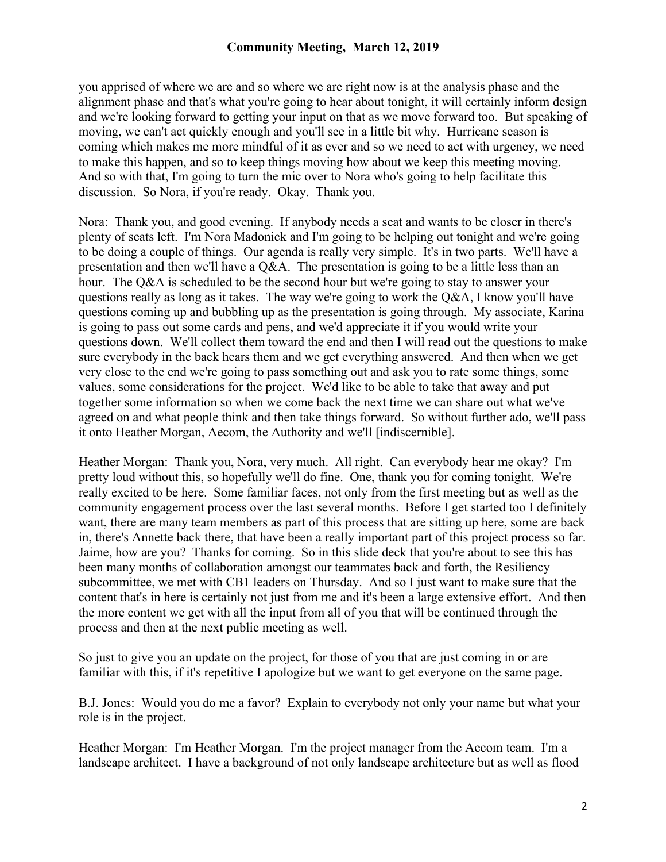you apprised of where we are and so where we are right now is at the analysis phase and the alignment phase and that's what you're going to hear about tonight, it will certainly inform design and we're looking forward to getting your input on that as we move forward too. But speaking of moving, we can't act quickly enough and you'll see in a little bit why. Hurricane season is coming which makes me more mindful of it as ever and so we need to act with urgency, we need to make this happen, and so to keep things moving how about we keep this meeting moving. And so with that, I'm going to turn the mic over to Nora who's going to help facilitate this discussion. So Nora, if you're ready. Okay. Thank you.

Nora: Thank you, and good evening. If anybody needs a seat and wants to be closer in there's plenty of seats left. I'm Nora Madonick and I'm going to be helping out tonight and we're going to be doing a couple of things. Our agenda is really very simple. It's in two parts. We'll have a presentation and then we'll have a Q&A. The presentation is going to be a little less than an hour. The Q&A is scheduled to be the second hour but we're going to stay to answer your questions really as long as it takes. The way we're going to work the Q&A, I know you'll have questions coming up and bubbling up as the presentation is going through. My associate, Karina is going to pass out some cards and pens, and we'd appreciate it if you would write your questions down. We'll collect them toward the end and then I will read out the questions to make sure everybody in the back hears them and we get everything answered. And then when we get very close to the end we're going to pass something out and ask you to rate some things, some values, some considerations for the project. We'd like to be able to take that away and put together some information so when we come back the next time we can share out what we've agreed on and what people think and then take things forward. So without further ado, we'll pass it onto Heather Morgan, Aecom, the Authority and we'll [indiscernible].

Heather Morgan: Thank you, Nora, very much. All right. Can everybody hear me okay? I'm pretty loud without this, so hopefully we'll do fine. One, thank you for coming tonight. We're really excited to be here. Some familiar faces, not only from the first meeting but as well as the community engagement process over the last several months. Before I get started too I definitely want, there are many team members as part of this process that are sitting up here, some are back in, there's Annette back there, that have been a really important part of this project process so far. Jaime, how are you? Thanks for coming. So in this slide deck that you're about to see this has been many months of collaboration amongst our teammates back and forth, the Resiliency subcommittee, we met with CB1 leaders on Thursday. And so I just want to make sure that the content that's in here is certainly not just from me and it's been a large extensive effort. And then the more content we get with all the input from all of you that will be continued through the process and then at the next public meeting as well.

So just to give you an update on the project, for those of you that are just coming in or are familiar with this, if it's repetitive I apologize but we want to get everyone on the same page.

B.J. Jones: Would you do me a favor? Explain to everybody not only your name but what your role is in the project.

Heather Morgan: I'm Heather Morgan. I'm the project manager from the Aecom team. I'm a landscape architect. I have a background of not only landscape architecture but as well as flood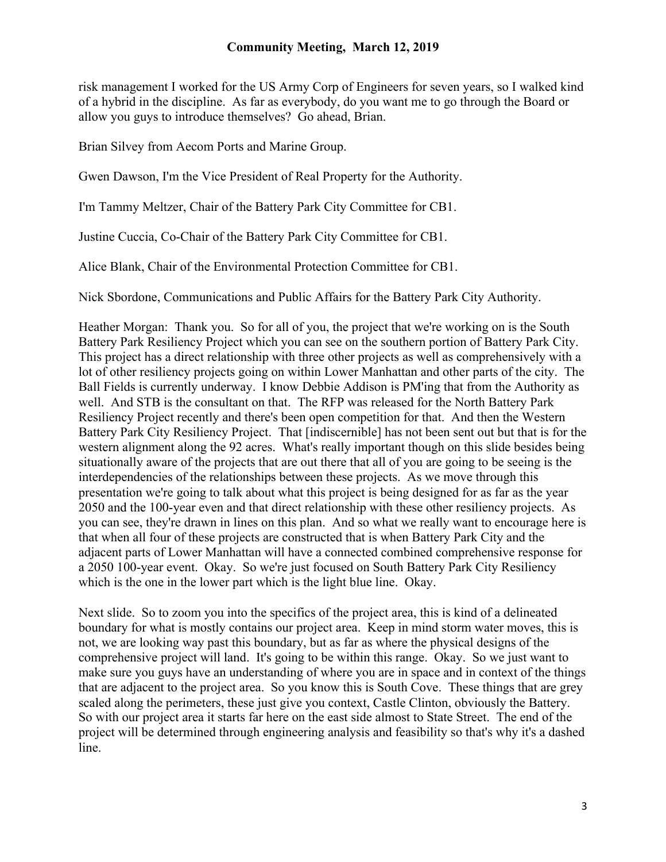risk management I worked for the US Army Corp of Engineers for seven years, so I walked kind of a hybrid in the discipline. As far as everybody, do you want me to go through the Board or allow you guys to introduce themselves? Go ahead, Brian.

Brian Silvey from Aecom Ports and Marine Group.

Gwen Dawson, I'm the Vice President of Real Property for the Authority.

I'm Tammy Meltzer, Chair of the Battery Park City Committee for CB1.

Justine Cuccia, Co-Chair of the Battery Park City Committee for CB1.

Alice Blank, Chair of the Environmental Protection Committee for CB1.

Nick Sbordone, Communications and Public Affairs for the Battery Park City Authority.

Heather Morgan: Thank you. So for all of you, the project that we're working on is the South Battery Park Resiliency Project which you can see on the southern portion of Battery Park City. This project has a direct relationship with three other projects as well as comprehensively with a lot of other resiliency projects going on within Lower Manhattan and other parts of the city. The Ball Fields is currently underway. I know Debbie Addison is PM'ing that from the Authority as well. And STB is the consultant on that. The RFP was released for the North Battery Park Resiliency Project recently and there's been open competition for that. And then the Western Battery Park City Resiliency Project. That [indiscernible] has not been sent out but that is for the western alignment along the 92 acres. What's really important though on this slide besides being situationally aware of the projects that are out there that all of you are going to be seeing is the interdependencies of the relationships between these projects. As we move through this presentation we're going to talk about what this project is being designed for as far as the year 2050 and the 100-year even and that direct relationship with these other resiliency projects. As you can see, they're drawn in lines on this plan. And so what we really want to encourage here is that when all four of these projects are constructed that is when Battery Park City and the adjacent parts of Lower Manhattan will have a connected combined comprehensive response for a 2050 100-year event. Okay. So we're just focused on South Battery Park City Resiliency which is the one in the lower part which is the light blue line. Okay.

Next slide. So to zoom you into the specifics of the project area, this is kind of a delineated boundary for what is mostly contains our project area. Keep in mind storm water moves, this is not, we are looking way past this boundary, but as far as where the physical designs of the comprehensive project will land. It's going to be within this range. Okay. So we just want to make sure you guys have an understanding of where you are in space and in context of the things that are adjacent to the project area. So you know this is South Cove. These things that are grey scaled along the perimeters, these just give you context, Castle Clinton, obviously the Battery. So with our project area it starts far here on the east side almost to State Street. The end of the project will be determined through engineering analysis and feasibility so that's why it's a dashed line.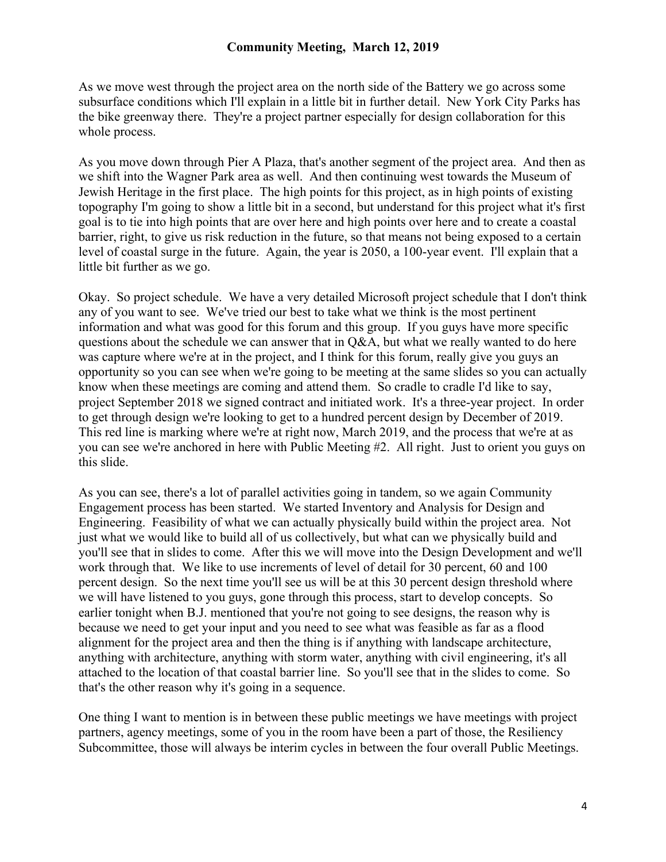As we move west through the project area on the north side of the Battery we go across some subsurface conditions which I'll explain in a little bit in further detail. New York City Parks has the bike greenway there. They're a project partner especially for design collaboration for this whole process.

As you move down through Pier A Plaza, that's another segment of the project area. And then as we shift into the Wagner Park area as well. And then continuing west towards the Museum of Jewish Heritage in the first place. The high points for this project, as in high points of existing topography I'm going to show a little bit in a second, but understand for this project what it's first goal is to tie into high points that are over here and high points over here and to create a coastal barrier, right, to give us risk reduction in the future, so that means not being exposed to a certain level of coastal surge in the future. Again, the year is 2050, a 100-year event. I'll explain that a little bit further as we go.

Okay. So project schedule. We have a very detailed Microsoft project schedule that I don't think any of you want to see. We've tried our best to take what we think is the most pertinent information and what was good for this forum and this group. If you guys have more specific questions about the schedule we can answer that in Q&A, but what we really wanted to do here was capture where we're at in the project, and I think for this forum, really give you guys an opportunity so you can see when we're going to be meeting at the same slides so you can actually know when these meetings are coming and attend them. So cradle to cradle I'd like to say, project September 2018 we signed contract and initiated work. It's a three-year project. In order to get through design we're looking to get to a hundred percent design by December of 2019. This red line is marking where we're at right now, March 2019, and the process that we're at as you can see we're anchored in here with Public Meeting #2. All right. Just to orient you guys on this slide.

As you can see, there's a lot of parallel activities going in tandem, so we again Community Engagement process has been started. We started Inventory and Analysis for Design and Engineering. Feasibility of what we can actually physically build within the project area. Not just what we would like to build all of us collectively, but what can we physically build and you'll see that in slides to come. After this we will move into the Design Development and we'll work through that. We like to use increments of level of detail for 30 percent, 60 and 100 percent design. So the next time you'll see us will be at this 30 percent design threshold where we will have listened to you guys, gone through this process, start to develop concepts. So earlier tonight when B.J. mentioned that you're not going to see designs, the reason why is because we need to get your input and you need to see what was feasible as far as a flood alignment for the project area and then the thing is if anything with landscape architecture, anything with architecture, anything with storm water, anything with civil engineering, it's all attached to the location of that coastal barrier line. So you'll see that in the slides to come. So that's the other reason why it's going in a sequence.

One thing I want to mention is in between these public meetings we have meetings with project partners, agency meetings, some of you in the room have been a part of those, the Resiliency Subcommittee, those will always be interim cycles in between the four overall Public Meetings.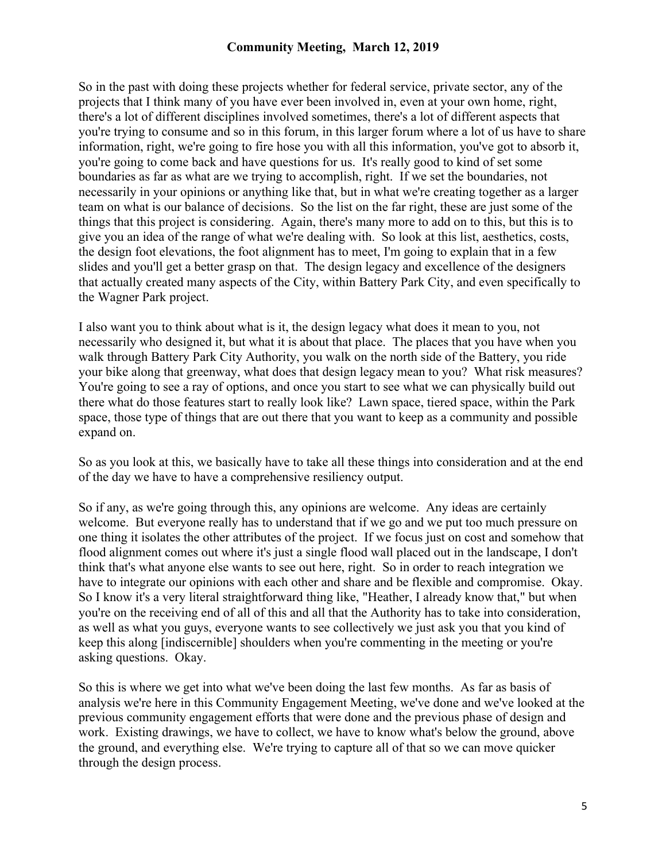So in the past with doing these projects whether for federal service, private sector, any of the projects that I think many of you have ever been involved in, even at your own home, right, there's a lot of different disciplines involved sometimes, there's a lot of different aspects that you're trying to consume and so in this forum, in this larger forum where a lot of us have to share information, right, we're going to fire hose you with all this information, you've got to absorb it, you're going to come back and have questions for us. It's really good to kind of set some boundaries as far as what are we trying to accomplish, right. If we set the boundaries, not necessarily in your opinions or anything like that, but in what we're creating together as a larger team on what is our balance of decisions. So the list on the far right, these are just some of the things that this project is considering. Again, there's many more to add on to this, but this is to give you an idea of the range of what we're dealing with. So look at this list, aesthetics, costs, the design foot elevations, the foot alignment has to meet, I'm going to explain that in a few slides and you'll get a better grasp on that. The design legacy and excellence of the designers that actually created many aspects of the City, within Battery Park City, and even specifically to the Wagner Park project.

I also want you to think about what is it, the design legacy what does it mean to you, not necessarily who designed it, but what it is about that place. The places that you have when you walk through Battery Park City Authority, you walk on the north side of the Battery, you ride your bike along that greenway, what does that design legacy mean to you? What risk measures? You're going to see a ray of options, and once you start to see what we can physically build out there what do those features start to really look like? Lawn space, tiered space, within the Park space, those type of things that are out there that you want to keep as a community and possible expand on.

So as you look at this, we basically have to take all these things into consideration and at the end of the day we have to have a comprehensive resiliency output.

So if any, as we're going through this, any opinions are welcome. Any ideas are certainly welcome. But everyone really has to understand that if we go and we put too much pressure on one thing it isolates the other attributes of the project. If we focus just on cost and somehow that flood alignment comes out where it's just a single flood wall placed out in the landscape, I don't think that's what anyone else wants to see out here, right. So in order to reach integration we have to integrate our opinions with each other and share and be flexible and compromise. Okay. So I know it's a very literal straightforward thing like, "Heather, I already know that," but when you're on the receiving end of all of this and all that the Authority has to take into consideration, as well as what you guys, everyone wants to see collectively we just ask you that you kind of keep this along [indiscernible] shoulders when you're commenting in the meeting or you're asking questions. Okay.

So this is where we get into what we've been doing the last few months. As far as basis of analysis we're here in this Community Engagement Meeting, we've done and we've looked at the previous community engagement efforts that were done and the previous phase of design and work. Existing drawings, we have to collect, we have to know what's below the ground, above the ground, and everything else. We're trying to capture all of that so we can move quicker through the design process.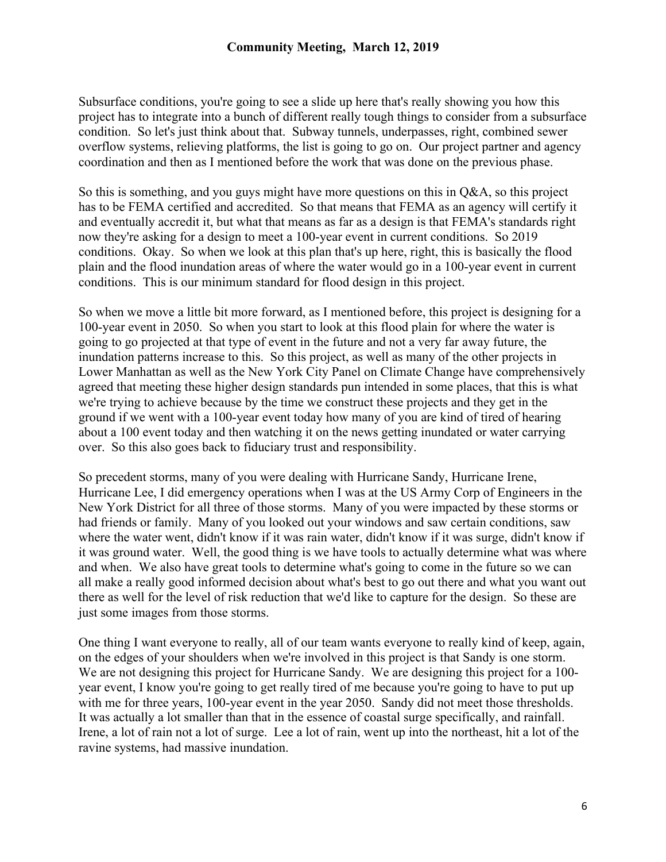Subsurface conditions, you're going to see a slide up here that's really showing you how this project has to integrate into a bunch of different really tough things to consider from a subsurface condition. So let's just think about that. Subway tunnels, underpasses, right, combined sewer overflow systems, relieving platforms, the list is going to go on. Our project partner and agency coordination and then as I mentioned before the work that was done on the previous phase.

So this is something, and you guys might have more questions on this in Q&A, so this project has to be FEMA certified and accredited. So that means that FEMA as an agency will certify it and eventually accredit it, but what that means as far as a design is that FEMA's standards right now they're asking for a design to meet a 100-year event in current conditions. So 2019 conditions. Okay. So when we look at this plan that's up here, right, this is basically the flood plain and the flood inundation areas of where the water would go in a 100-year event in current conditions. This is our minimum standard for flood design in this project.

So when we move a little bit more forward, as I mentioned before, this project is designing for a 100-year event in 2050. So when you start to look at this flood plain for where the water is going to go projected at that type of event in the future and not a very far away future, the inundation patterns increase to this. So this project, as well as many of the other projects in Lower Manhattan as well as the New York City Panel on Climate Change have comprehensively agreed that meeting these higher design standards pun intended in some places, that this is what we're trying to achieve because by the time we construct these projects and they get in the ground if we went with a 100-year event today how many of you are kind of tired of hearing about a 100 event today and then watching it on the news getting inundated or water carrying over. So this also goes back to fiduciary trust and responsibility.

So precedent storms, many of you were dealing with Hurricane Sandy, Hurricane Irene, Hurricane Lee, I did emergency operations when I was at the US Army Corp of Engineers in the New York District for all three of those storms. Many of you were impacted by these storms or had friends or family. Many of you looked out your windows and saw certain conditions, saw where the water went, didn't know if it was rain water, didn't know if it was surge, didn't know if it was ground water. Well, the good thing is we have tools to actually determine what was where and when. We also have great tools to determine what's going to come in the future so we can all make a really good informed decision about what's best to go out there and what you want out there as well for the level of risk reduction that we'd like to capture for the design. So these are just some images from those storms.

One thing I want everyone to really, all of our team wants everyone to really kind of keep, again, on the edges of your shoulders when we're involved in this project is that Sandy is one storm. We are not designing this project for Hurricane Sandy. We are designing this project for a 100 year event, I know you're going to get really tired of me because you're going to have to put up with me for three years, 100-year event in the year 2050. Sandy did not meet those thresholds. It was actually a lot smaller than that in the essence of coastal surge specifically, and rainfall. Irene, a lot of rain not a lot of surge. Lee a lot of rain, went up into the northeast, hit a lot of the ravine systems, had massive inundation.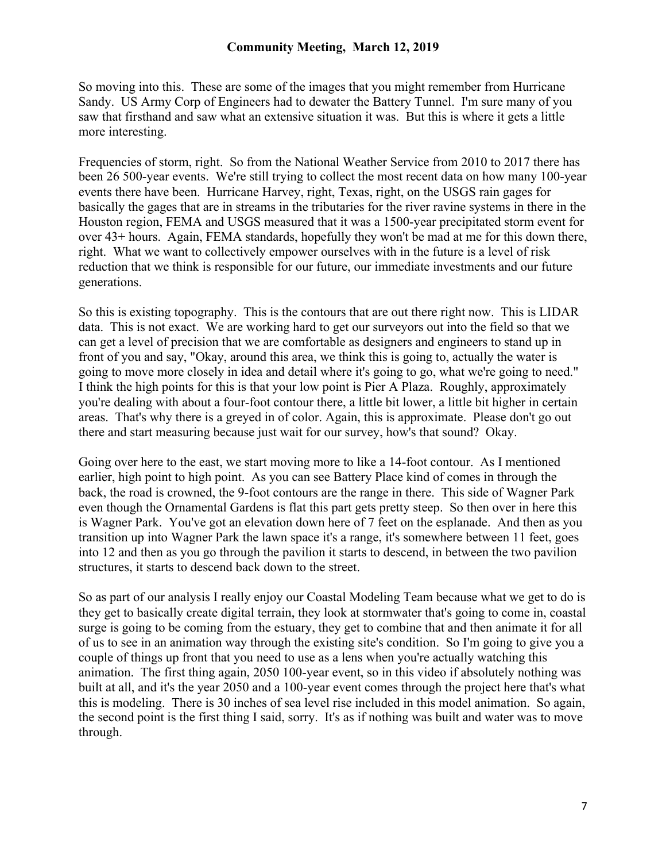So moving into this. These are some of the images that you might remember from Hurricane Sandy. US Army Corp of Engineers had to dewater the Battery Tunnel. I'm sure many of you saw that firsthand and saw what an extensive situation it was. But this is where it gets a little more interesting.

Frequencies of storm, right. So from the National Weather Service from 2010 to 2017 there has been 26 500-year events. We're still trying to collect the most recent data on how many 100-year events there have been. Hurricane Harvey, right, Texas, right, on the USGS rain gages for basically the gages that are in streams in the tributaries for the river ravine systems in there in the Houston region, FEMA and USGS measured that it was a 1500-year precipitated storm event for over 43+ hours. Again, FEMA standards, hopefully they won't be mad at me for this down there, right. What we want to collectively empower ourselves with in the future is a level of risk reduction that we think is responsible for our future, our immediate investments and our future generations.

So this is existing topography. This is the contours that are out there right now. This is LIDAR data. This is not exact. We are working hard to get our surveyors out into the field so that we can get a level of precision that we are comfortable as designers and engineers to stand up in front of you and say, "Okay, around this area, we think this is going to, actually the water is going to move more closely in idea and detail where it's going to go, what we're going to need." I think the high points for this is that your low point is Pier A Plaza. Roughly, approximately you're dealing with about a four-foot contour there, a little bit lower, a little bit higher in certain areas. That's why there is a greyed in of color. Again, this is approximate. Please don't go out there and start measuring because just wait for our survey, how's that sound? Okay.

Going over here to the east, we start moving more to like a 14-foot contour. As I mentioned earlier, high point to high point. As you can see Battery Place kind of comes in through the back, the road is crowned, the 9-foot contours are the range in there. This side of Wagner Park even though the Ornamental Gardens is flat this part gets pretty steep. So then over in here this is Wagner Park. You've got an elevation down here of 7 feet on the esplanade. And then as you transition up into Wagner Park the lawn space it's a range, it's somewhere between 11 feet, goes into 12 and then as you go through the pavilion it starts to descend, in between the two pavilion structures, it starts to descend back down to the street.

So as part of our analysis I really enjoy our Coastal Modeling Team because what we get to do is they get to basically create digital terrain, they look at stormwater that's going to come in, coastal surge is going to be coming from the estuary, they get to combine that and then animate it for all of us to see in an animation way through the existing site's condition. So I'm going to give you a couple of things up front that you need to use as a lens when you're actually watching this animation. The first thing again, 2050 100-year event, so in this video if absolutely nothing was built at all, and it's the year 2050 and a 100-year event comes through the project here that's what this is modeling. There is 30 inches of sea level rise included in this model animation. So again, the second point is the first thing I said, sorry. It's as if nothing was built and water was to move through.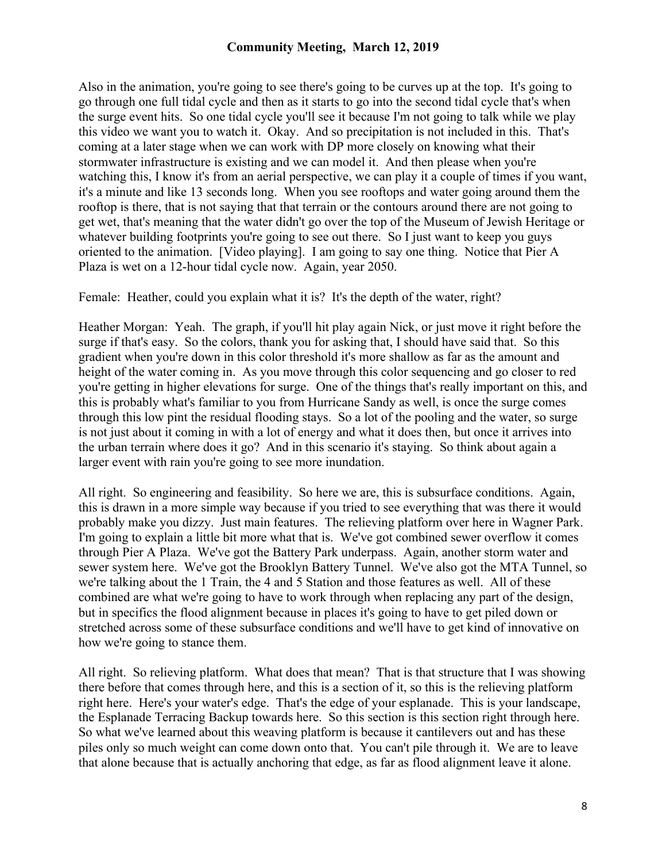Also in the animation, you're going to see there's going to be curves up at the top. It's going to go through one full tidal cycle and then as it starts to go into the second tidal cycle that's when the surge event hits. So one tidal cycle you'll see it because I'm not going to talk while we play this video we want you to watch it. Okay. And so precipitation is not included in this. That's coming at a later stage when we can work with DP more closely on knowing what their stormwater infrastructure is existing and we can model it. And then please when you're watching this, I know it's from an aerial perspective, we can play it a couple of times if you want, it's a minute and like 13 seconds long. When you see rooftops and water going around them the rooftop is there, that is not saying that that terrain or the contours around there are not going to get wet, that's meaning that the water didn't go over the top of the Museum of Jewish Heritage or whatever building footprints you're going to see out there. So I just want to keep you guys oriented to the animation. [Video playing]. I am going to say one thing. Notice that Pier A Plaza is wet on a 12-hour tidal cycle now. Again, year 2050.

Female: Heather, could you explain what it is? It's the depth of the water, right?

Heather Morgan: Yeah. The graph, if you'll hit play again Nick, or just move it right before the surge if that's easy. So the colors, thank you for asking that, I should have said that. So this gradient when you're down in this color threshold it's more shallow as far as the amount and height of the water coming in. As you move through this color sequencing and go closer to red you're getting in higher elevations for surge. One of the things that's really important on this, and this is probably what's familiar to you from Hurricane Sandy as well, is once the surge comes through this low pint the residual flooding stays. So a lot of the pooling and the water, so surge is not just about it coming in with a lot of energy and what it does then, but once it arrives into the urban terrain where does it go? And in this scenario it's staying. So think about again a larger event with rain you're going to see more inundation.

All right. So engineering and feasibility. So here we are, this is subsurface conditions. Again, this is drawn in a more simple way because if you tried to see everything that was there it would probably make you dizzy. Just main features. The relieving platform over here in Wagner Park. I'm going to explain a little bit more what that is. We've got combined sewer overflow it comes through Pier A Plaza. We've got the Battery Park underpass. Again, another storm water and sewer system here. We've got the Brooklyn Battery Tunnel. We've also got the MTA Tunnel, so we're talking about the 1 Train, the 4 and 5 Station and those features as well. All of these combined are what we're going to have to work through when replacing any part of the design, but in specifics the flood alignment because in places it's going to have to get piled down or stretched across some of these subsurface conditions and we'll have to get kind of innovative on how we're going to stance them.

All right. So relieving platform. What does that mean? That is that structure that I was showing there before that comes through here, and this is a section of it, so this is the relieving platform right here. Here's your water's edge. That's the edge of your esplanade. This is your landscape, the Esplanade Terracing Backup towards here. So this section is this section right through here. So what we've learned about this weaving platform is because it cantilevers out and has these piles only so much weight can come down onto that. You can't pile through it. We are to leave that alone because that is actually anchoring that edge, as far as flood alignment leave it alone.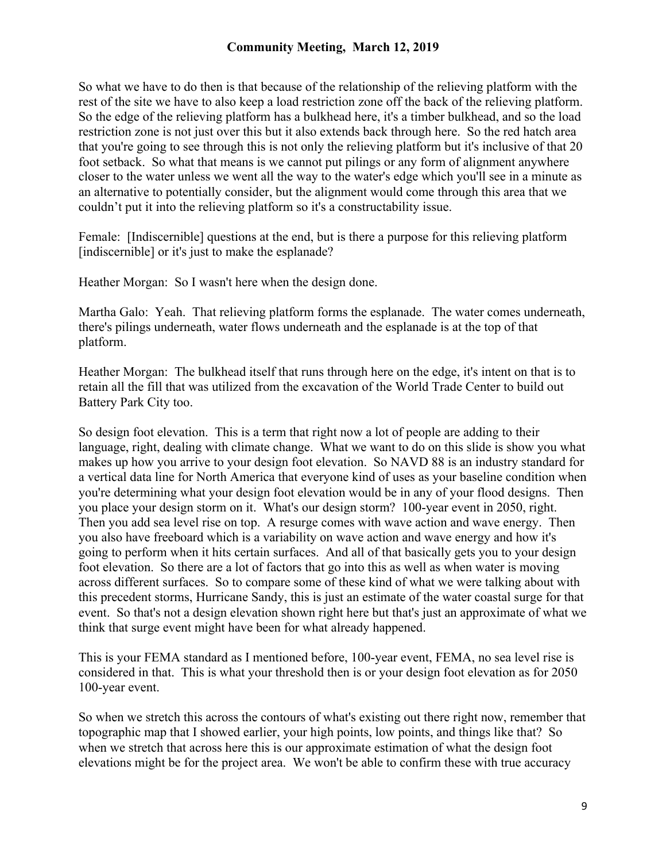So what we have to do then is that because of the relationship of the relieving platform with the rest of the site we have to also keep a load restriction zone off the back of the relieving platform. So the edge of the relieving platform has a bulkhead here, it's a timber bulkhead, and so the load restriction zone is not just over this but it also extends back through here. So the red hatch area that you're going to see through this is not only the relieving platform but it's inclusive of that 20 foot setback. So what that means is we cannot put pilings or any form of alignment anywhere closer to the water unless we went all the way to the water's edge which you'll see in a minute as an alternative to potentially consider, but the alignment would come through this area that we couldn't put it into the relieving platform so it's a constructability issue.

Female: [Indiscernible] questions at the end, but is there a purpose for this relieving platform [indiscernible] or it's just to make the esplanade?

Heather Morgan: So I wasn't here when the design done.

Martha Galo: Yeah. That relieving platform forms the esplanade. The water comes underneath, there's pilings underneath, water flows underneath and the esplanade is at the top of that platform.

Heather Morgan: The bulkhead itself that runs through here on the edge, it's intent on that is to retain all the fill that was utilized from the excavation of the World Trade Center to build out Battery Park City too.

So design foot elevation. This is a term that right now a lot of people are adding to their language, right, dealing with climate change. What we want to do on this slide is show you what makes up how you arrive to your design foot elevation. So NAVD 88 is an industry standard for a vertical data line for North America that everyone kind of uses as your baseline condition when you're determining what your design foot elevation would be in any of your flood designs. Then you place your design storm on it. What's our design storm? 100-year event in 2050, right. Then you add sea level rise on top. A resurge comes with wave action and wave energy. Then you also have freeboard which is a variability on wave action and wave energy and how it's going to perform when it hits certain surfaces. And all of that basically gets you to your design foot elevation. So there are a lot of factors that go into this as well as when water is moving across different surfaces. So to compare some of these kind of what we were talking about with this precedent storms, Hurricane Sandy, this is just an estimate of the water coastal surge for that event. So that's not a design elevation shown right here but that's just an approximate of what we think that surge event might have been for what already happened.

This is your FEMA standard as I mentioned before, 100-year event, FEMA, no sea level rise is considered in that. This is what your threshold then is or your design foot elevation as for 2050 100-year event.

So when we stretch this across the contours of what's existing out there right now, remember that topographic map that I showed earlier, your high points, low points, and things like that? So when we stretch that across here this is our approximate estimation of what the design foot elevations might be for the project area. We won't be able to confirm these with true accuracy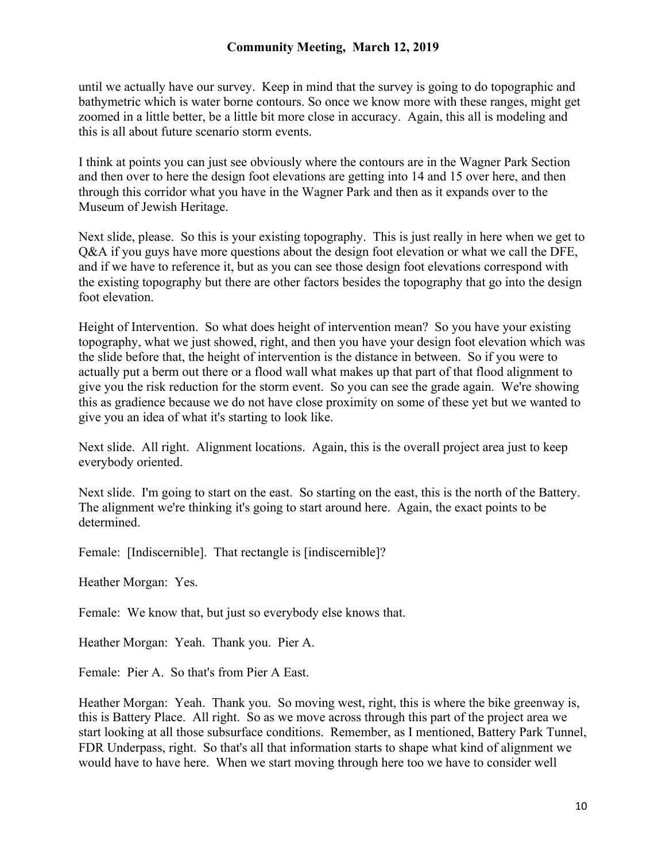until we actually have our survey. Keep in mind that the survey is going to do topographic and bathymetric which is water borne contours. So once we know more with these ranges, might get zoomed in a little better, be a little bit more close in accuracy. Again, this all is modeling and this is all about future scenario storm events.

I think at points you can just see obviously where the contours are in the Wagner Park Section and then over to here the design foot elevations are getting into 14 and 15 over here, and then through this corridor what you have in the Wagner Park and then as it expands over to the Museum of Jewish Heritage.

Next slide, please. So this is your existing topography. This is just really in here when we get to Q&A if you guys have more questions about the design foot elevation or what we call the DFE, and if we have to reference it, but as you can see those design foot elevations correspond with the existing topography but there are other factors besides the topography that go into the design foot elevation.

Height of Intervention. So what does height of intervention mean? So you have your existing topography, what we just showed, right, and then you have your design foot elevation which was the slide before that, the height of intervention is the distance in between. So if you were to actually put a berm out there or a flood wall what makes up that part of that flood alignment to give you the risk reduction for the storm event. So you can see the grade again. We're showing this as gradience because we do not have close proximity on some of these yet but we wanted to give you an idea of what it's starting to look like.

Next slide. All right. Alignment locations. Again, this is the overall project area just to keep everybody oriented.

Next slide. I'm going to start on the east. So starting on the east, this is the north of the Battery. The alignment we're thinking it's going to start around here. Again, the exact points to be determined.

Female: [Indiscernible]. That rectangle is [indiscernible]?

Heather Morgan: Yes.

Female: We know that, but just so everybody else knows that.

Heather Morgan: Yeah. Thank you. Pier A.

Female: Pier A. So that's from Pier A East.

Heather Morgan: Yeah. Thank you. So moving west, right, this is where the bike greenway is, this is Battery Place. All right. So as we move across through this part of the project area we start looking at all those subsurface conditions. Remember, as I mentioned, Battery Park Tunnel, FDR Underpass, right. So that's all that information starts to shape what kind of alignment we would have to have here. When we start moving through here too we have to consider well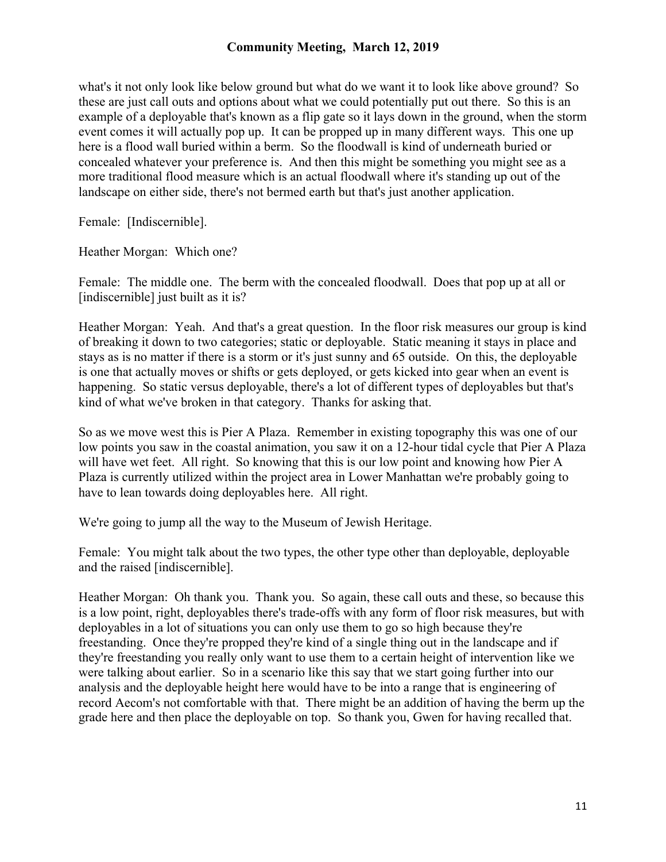what's it not only look like below ground but what do we want it to look like above ground? So these are just call outs and options about what we could potentially put out there. So this is an example of a deployable that's known as a flip gate so it lays down in the ground, when the storm event comes it will actually pop up. It can be propped up in many different ways. This one up here is a flood wall buried within a berm. So the floodwall is kind of underneath buried or concealed whatever your preference is. And then this might be something you might see as a more traditional flood measure which is an actual floodwall where it's standing up out of the landscape on either side, there's not bermed earth but that's just another application.

Female: [Indiscernible].

Heather Morgan: Which one?

Female: The middle one. The berm with the concealed floodwall. Does that pop up at all or [indiscernible] just built as it is?

Heather Morgan: Yeah. And that's a great question. In the floor risk measures our group is kind of breaking it down to two categories; static or deployable. Static meaning it stays in place and stays as is no matter if there is a storm or it's just sunny and 65 outside. On this, the deployable is one that actually moves or shifts or gets deployed, or gets kicked into gear when an event is happening. So static versus deployable, there's a lot of different types of deployables but that's kind of what we've broken in that category. Thanks for asking that.

So as we move west this is Pier A Plaza. Remember in existing topography this was one of our low points you saw in the coastal animation, you saw it on a 12-hour tidal cycle that Pier A Plaza will have wet feet. All right. So knowing that this is our low point and knowing how Pier A Plaza is currently utilized within the project area in Lower Manhattan we're probably going to have to lean towards doing deployables here. All right.

We're going to jump all the way to the Museum of Jewish Heritage.

Female: You might talk about the two types, the other type other than deployable, deployable and the raised [indiscernible].

Heather Morgan: Oh thank you. Thank you. So again, these call outs and these, so because this is a low point, right, deployables there's trade-offs with any form of floor risk measures, but with deployables in a lot of situations you can only use them to go so high because they're freestanding. Once they're propped they're kind of a single thing out in the landscape and if they're freestanding you really only want to use them to a certain height of intervention like we were talking about earlier. So in a scenario like this say that we start going further into our analysis and the deployable height here would have to be into a range that is engineering of record Aecom's not comfortable with that. There might be an addition of having the berm up the grade here and then place the deployable on top. So thank you, Gwen for having recalled that.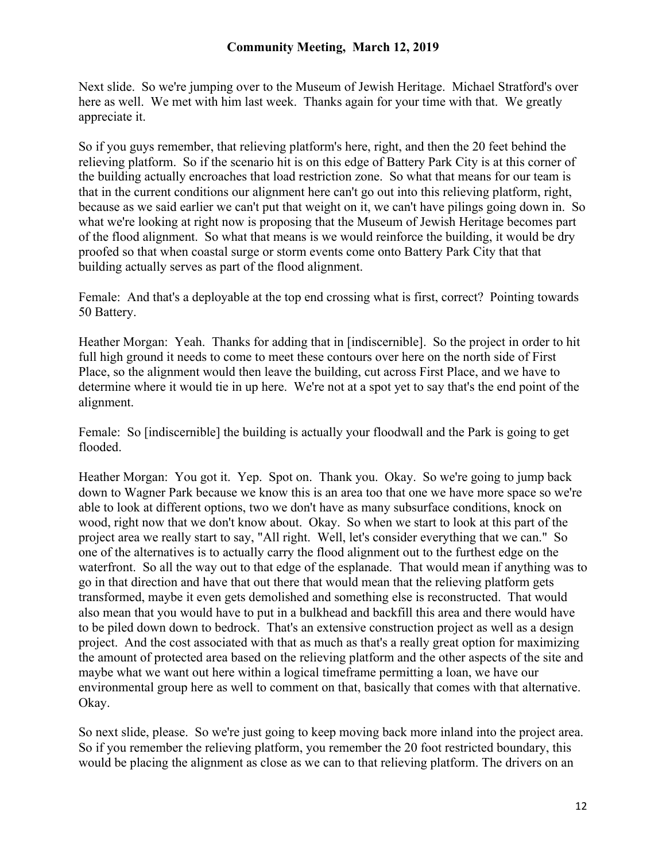Next slide. So we're jumping over to the Museum of Jewish Heritage. Michael Stratford's over here as well. We met with him last week. Thanks again for your time with that. We greatly appreciate it.

So if you guys remember, that relieving platform's here, right, and then the 20 feet behind the relieving platform. So if the scenario hit is on this edge of Battery Park City is at this corner of the building actually encroaches that load restriction zone. So what that means for our team is that in the current conditions our alignment here can't go out into this relieving platform, right, because as we said earlier we can't put that weight on it, we can't have pilings going down in. So what we're looking at right now is proposing that the Museum of Jewish Heritage becomes part of the flood alignment. So what that means is we would reinforce the building, it would be dry proofed so that when coastal surge or storm events come onto Battery Park City that that building actually serves as part of the flood alignment.

Female: And that's a deployable at the top end crossing what is first, correct? Pointing towards 50 Battery.

Heather Morgan: Yeah. Thanks for adding that in [indiscernible]. So the project in order to hit full high ground it needs to come to meet these contours over here on the north side of First Place, so the alignment would then leave the building, cut across First Place, and we have to determine where it would tie in up here. We're not at a spot yet to say that's the end point of the alignment.

Female: So [indiscernible] the building is actually your floodwall and the Park is going to get flooded.

Heather Morgan: You got it. Yep. Spot on. Thank you. Okay. So we're going to jump back down to Wagner Park because we know this is an area too that one we have more space so we're able to look at different options, two we don't have as many subsurface conditions, knock on wood, right now that we don't know about. Okay. So when we start to look at this part of the project area we really start to say, "All right. Well, let's consider everything that we can." So one of the alternatives is to actually carry the flood alignment out to the furthest edge on the waterfront. So all the way out to that edge of the esplanade. That would mean if anything was to go in that direction and have that out there that would mean that the relieving platform gets transformed, maybe it even gets demolished and something else is reconstructed. That would also mean that you would have to put in a bulkhead and backfill this area and there would have to be piled down down to bedrock. That's an extensive construction project as well as a design project. And the cost associated with that as much as that's a really great option for maximizing the amount of protected area based on the relieving platform and the other aspects of the site and maybe what we want out here within a logical timeframe permitting a loan, we have our environmental group here as well to comment on that, basically that comes with that alternative. Okay.

So next slide, please. So we're just going to keep moving back more inland into the project area. So if you remember the relieving platform, you remember the 20 foot restricted boundary, this would be placing the alignment as close as we can to that relieving platform. The drivers on an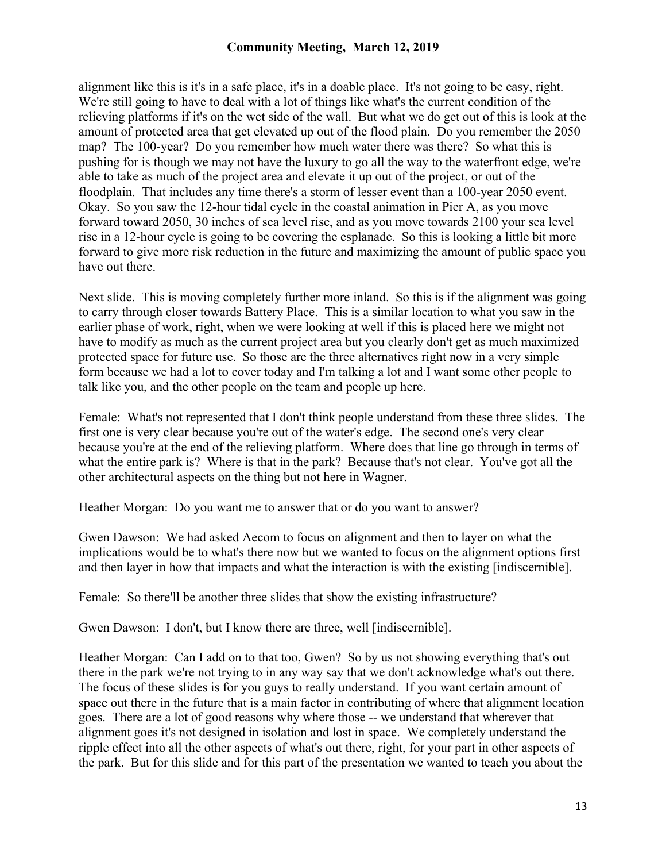alignment like this is it's in a safe place, it's in a doable place. It's not going to be easy, right. We're still going to have to deal with a lot of things like what's the current condition of the relieving platforms if it's on the wet side of the wall. But what we do get out of this is look at the amount of protected area that get elevated up out of the flood plain. Do you remember the 2050 map? The 100-year? Do you remember how much water there was there? So what this is pushing for is though we may not have the luxury to go all the way to the waterfront edge, we're able to take as much of the project area and elevate it up out of the project, or out of the floodplain. That includes any time there's a storm of lesser event than a 100-year 2050 event. Okay. So you saw the 12-hour tidal cycle in the coastal animation in Pier A, as you move forward toward 2050, 30 inches of sea level rise, and as you move towards 2100 your sea level rise in a 12-hour cycle is going to be covering the esplanade. So this is looking a little bit more forward to give more risk reduction in the future and maximizing the amount of public space you have out there.

Next slide. This is moving completely further more inland. So this is if the alignment was going to carry through closer towards Battery Place. This is a similar location to what you saw in the earlier phase of work, right, when we were looking at well if this is placed here we might not have to modify as much as the current project area but you clearly don't get as much maximized protected space for future use. So those are the three alternatives right now in a very simple form because we had a lot to cover today and I'm talking a lot and I want some other people to talk like you, and the other people on the team and people up here.

Female: What's not represented that I don't think people understand from these three slides. The first one is very clear because you're out of the water's edge. The second one's very clear because you're at the end of the relieving platform. Where does that line go through in terms of what the entire park is? Where is that in the park? Because that's not clear. You've got all the other architectural aspects on the thing but not here in Wagner.

Heather Morgan: Do you want me to answer that or do you want to answer?

Gwen Dawson: We had asked Aecom to focus on alignment and then to layer on what the implications would be to what's there now but we wanted to focus on the alignment options first and then layer in how that impacts and what the interaction is with the existing [indiscernible].

Female: So there'll be another three slides that show the existing infrastructure?

Gwen Dawson: I don't, but I know there are three, well [indiscernible].

Heather Morgan: Can I add on to that too, Gwen? So by us not showing everything that's out there in the park we're not trying to in any way say that we don't acknowledge what's out there. The focus of these slides is for you guys to really understand. If you want certain amount of space out there in the future that is a main factor in contributing of where that alignment location goes. There are a lot of good reasons why where those -- we understand that wherever that alignment goes it's not designed in isolation and lost in space. We completely understand the ripple effect into all the other aspects of what's out there, right, for your part in other aspects of the park. But for this slide and for this part of the presentation we wanted to teach you about the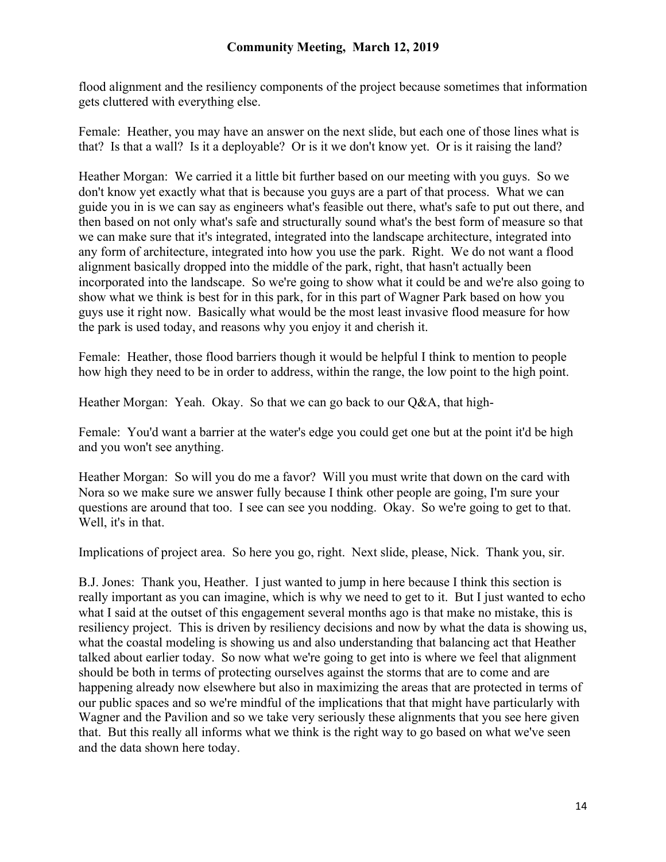flood alignment and the resiliency components of the project because sometimes that information gets cluttered with everything else.

Female: Heather, you may have an answer on the next slide, but each one of those lines what is that? Is that a wall? Is it a deployable? Or is it we don't know yet. Or is it raising the land?

Heather Morgan: We carried it a little bit further based on our meeting with you guys. So we don't know yet exactly what that is because you guys are a part of that process. What we can guide you in is we can say as engineers what's feasible out there, what's safe to put out there, and then based on not only what's safe and structurally sound what's the best form of measure so that we can make sure that it's integrated, integrated into the landscape architecture, integrated into any form of architecture, integrated into how you use the park. Right. We do not want a flood alignment basically dropped into the middle of the park, right, that hasn't actually been incorporated into the landscape. So we're going to show what it could be and we're also going to show what we think is best for in this park, for in this part of Wagner Park based on how you guys use it right now. Basically what would be the most least invasive flood measure for how the park is used today, and reasons why you enjoy it and cherish it.

Female: Heather, those flood barriers though it would be helpful I think to mention to people how high they need to be in order to address, within the range, the low point to the high point.

Heather Morgan: Yeah. Okay. So that we can go back to our Q&A, that high-

Female: You'd want a barrier at the water's edge you could get one but at the point it'd be high and you won't see anything.

Heather Morgan: So will you do me a favor? Will you must write that down on the card with Nora so we make sure we answer fully because I think other people are going, I'm sure your questions are around that too. I see can see you nodding. Okay. So we're going to get to that. Well, it's in that.

Implications of project area. So here you go, right. Next slide, please, Nick. Thank you, sir.

B.J. Jones: Thank you, Heather. I just wanted to jump in here because I think this section is really important as you can imagine, which is why we need to get to it. But I just wanted to echo what I said at the outset of this engagement several months ago is that make no mistake, this is resiliency project. This is driven by resiliency decisions and now by what the data is showing us, what the coastal modeling is showing us and also understanding that balancing act that Heather talked about earlier today. So now what we're going to get into is where we feel that alignment should be both in terms of protecting ourselves against the storms that are to come and are happening already now elsewhere but also in maximizing the areas that are protected in terms of our public spaces and so we're mindful of the implications that that might have particularly with Wagner and the Pavilion and so we take very seriously these alignments that you see here given that. But this really all informs what we think is the right way to go based on what we've seen and the data shown here today.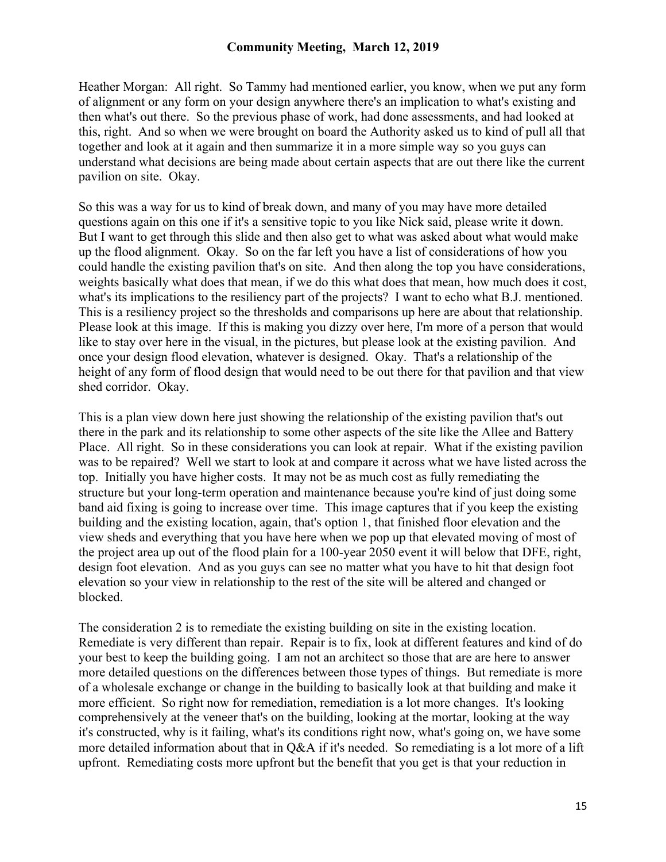Heather Morgan: All right. So Tammy had mentioned earlier, you know, when we put any form of alignment or any form on your design anywhere there's an implication to what's existing and then what's out there. So the previous phase of work, had done assessments, and had looked at this, right. And so when we were brought on board the Authority asked us to kind of pull all that together and look at it again and then summarize it in a more simple way so you guys can understand what decisions are being made about certain aspects that are out there like the current pavilion on site. Okay.

So this was a way for us to kind of break down, and many of you may have more detailed questions again on this one if it's a sensitive topic to you like Nick said, please write it down. But I want to get through this slide and then also get to what was asked about what would make up the flood alignment. Okay. So on the far left you have a list of considerations of how you could handle the existing pavilion that's on site. And then along the top you have considerations, weights basically what does that mean, if we do this what does that mean, how much does it cost, what's its implications to the resiliency part of the projects? I want to echo what B.J. mentioned. This is a resiliency project so the thresholds and comparisons up here are about that relationship. Please look at this image. If this is making you dizzy over here, I'm more of a person that would like to stay over here in the visual, in the pictures, but please look at the existing pavilion. And once your design flood elevation, whatever is designed. Okay. That's a relationship of the height of any form of flood design that would need to be out there for that pavilion and that view shed corridor. Okay.

This is a plan view down here just showing the relationship of the existing pavilion that's out there in the park and its relationship to some other aspects of the site like the Allee and Battery Place. All right. So in these considerations you can look at repair. What if the existing pavilion was to be repaired? Well we start to look at and compare it across what we have listed across the top. Initially you have higher costs. It may not be as much cost as fully remediating the structure but your long-term operation and maintenance because you're kind of just doing some band aid fixing is going to increase over time. This image captures that if you keep the existing building and the existing location, again, that's option 1, that finished floor elevation and the view sheds and everything that you have here when we pop up that elevated moving of most of the project area up out of the flood plain for a 100-year 2050 event it will below that DFE, right, design foot elevation. And as you guys can see no matter what you have to hit that design foot elevation so your view in relationship to the rest of the site will be altered and changed or blocked.

The consideration 2 is to remediate the existing building on site in the existing location. Remediate is very different than repair. Repair is to fix, look at different features and kind of do your best to keep the building going. I am not an architect so those that are are here to answer more detailed questions on the differences between those types of things. But remediate is more of a wholesale exchange or change in the building to basically look at that building and make it more efficient. So right now for remediation, remediation is a lot more changes. It's looking comprehensively at the veneer that's on the building, looking at the mortar, looking at the way it's constructed, why is it failing, what's its conditions right now, what's going on, we have some more detailed information about that in Q&A if it's needed. So remediating is a lot more of a lift upfront. Remediating costs more upfront but the benefit that you get is that your reduction in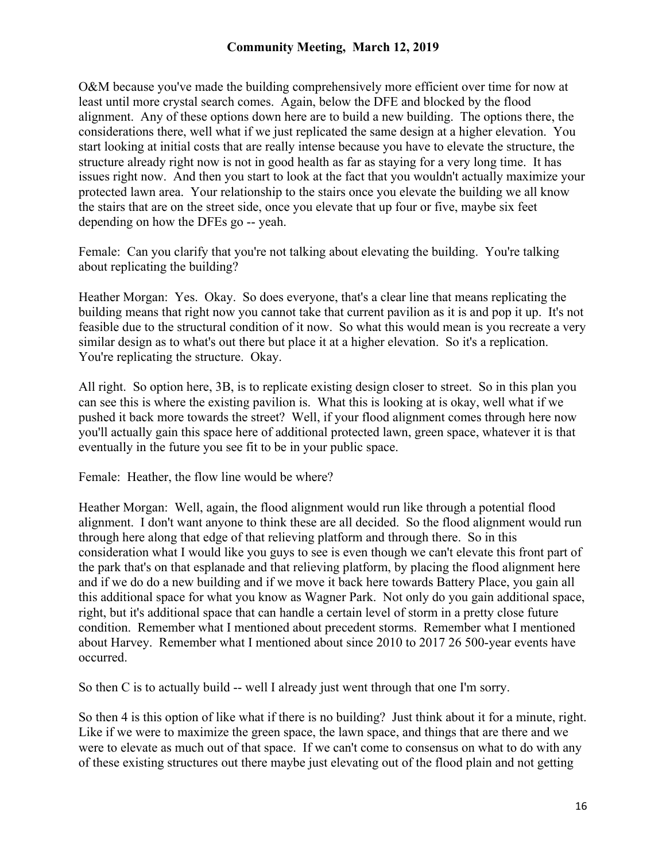O&M because you've made the building comprehensively more efficient over time for now at least until more crystal search comes. Again, below the DFE and blocked by the flood alignment. Any of these options down here are to build a new building. The options there, the considerations there, well what if we just replicated the same design at a higher elevation. You start looking at initial costs that are really intense because you have to elevate the structure, the structure already right now is not in good health as far as staying for a very long time. It has issues right now. And then you start to look at the fact that you wouldn't actually maximize your protected lawn area. Your relationship to the stairs once you elevate the building we all know the stairs that are on the street side, once you elevate that up four or five, maybe six feet depending on how the DFEs go -- yeah.

Female: Can you clarify that you're not talking about elevating the building. You're talking about replicating the building?

Heather Morgan: Yes. Okay. So does everyone, that's a clear line that means replicating the building means that right now you cannot take that current pavilion as it is and pop it up. It's not feasible due to the structural condition of it now. So what this would mean is you recreate a very similar design as to what's out there but place it at a higher elevation. So it's a replication. You're replicating the structure. Okay.

All right. So option here, 3B, is to replicate existing design closer to street. So in this plan you can see this is where the existing pavilion is. What this is looking at is okay, well what if we pushed it back more towards the street? Well, if your flood alignment comes through here now you'll actually gain this space here of additional protected lawn, green space, whatever it is that eventually in the future you see fit to be in your public space.

Female: Heather, the flow line would be where?

Heather Morgan: Well, again, the flood alignment would run like through a potential flood alignment. I don't want anyone to think these are all decided. So the flood alignment would run through here along that edge of that relieving platform and through there. So in this consideration what I would like you guys to see is even though we can't elevate this front part of the park that's on that esplanade and that relieving platform, by placing the flood alignment here and if we do do a new building and if we move it back here towards Battery Place, you gain all this additional space for what you know as Wagner Park. Not only do you gain additional space, right, but it's additional space that can handle a certain level of storm in a pretty close future condition. Remember what I mentioned about precedent storms. Remember what I mentioned about Harvey. Remember what I mentioned about since 2010 to 2017 26 500-year events have occurred.

So then C is to actually build -- well I already just went through that one I'm sorry.

So then 4 is this option of like what if there is no building? Just think about it for a minute, right. Like if we were to maximize the green space, the lawn space, and things that are there and we were to elevate as much out of that space. If we can't come to consensus on what to do with any of these existing structures out there maybe just elevating out of the flood plain and not getting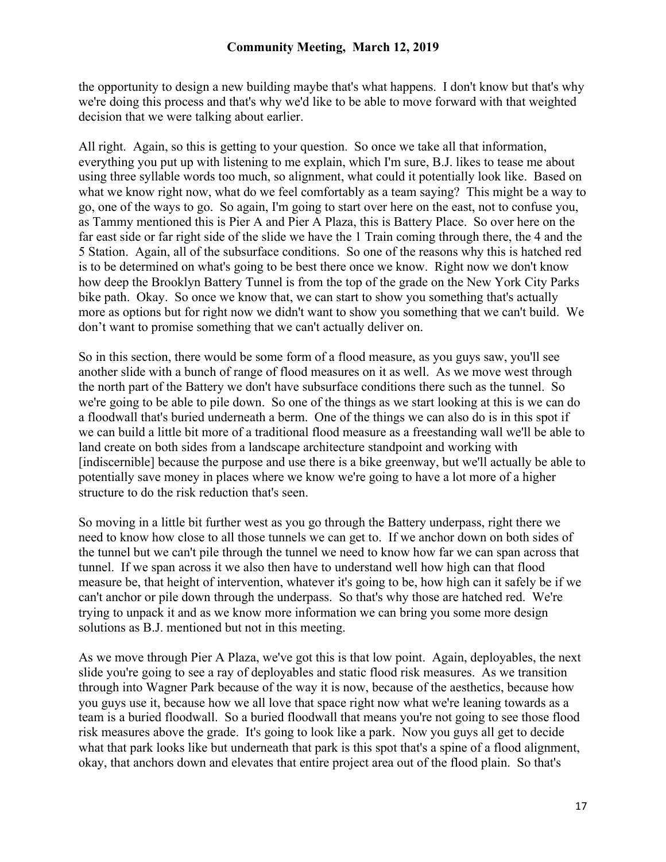the opportunity to design a new building maybe that's what happens. I don't know but that's why we're doing this process and that's why we'd like to be able to move forward with that weighted decision that we were talking about earlier.

All right. Again, so this is getting to your question. So once we take all that information, everything you put up with listening to me explain, which I'm sure, B.J. likes to tease me about using three syllable words too much, so alignment, what could it potentially look like. Based on what we know right now, what do we feel comfortably as a team saying? This might be a way to go, one of the ways to go. So again, I'm going to start over here on the east, not to confuse you, as Tammy mentioned this is Pier A and Pier A Plaza, this is Battery Place. So over here on the far east side or far right side of the slide we have the 1 Train coming through there, the 4 and the 5 Station. Again, all of the subsurface conditions. So one of the reasons why this is hatched red is to be determined on what's going to be best there once we know. Right now we don't know how deep the Brooklyn Battery Tunnel is from the top of the grade on the New York City Parks bike path. Okay. So once we know that, we can start to show you something that's actually more as options but for right now we didn't want to show you something that we can't build. We don't want to promise something that we can't actually deliver on.

So in this section, there would be some form of a flood measure, as you guys saw, you'll see another slide with a bunch of range of flood measures on it as well. As we move west through the north part of the Battery we don't have subsurface conditions there such as the tunnel. So we're going to be able to pile down. So one of the things as we start looking at this is we can do a floodwall that's buried underneath a berm. One of the things we can also do is in this spot if we can build a little bit more of a traditional flood measure as a freestanding wall we'll be able to land create on both sides from a landscape architecture standpoint and working with [indiscernible] because the purpose and use there is a bike greenway, but we'll actually be able to potentially save money in places where we know we're going to have a lot more of a higher structure to do the risk reduction that's seen.

So moving in a little bit further west as you go through the Battery underpass, right there we need to know how close to all those tunnels we can get to. If we anchor down on both sides of the tunnel but we can't pile through the tunnel we need to know how far we can span across that tunnel. If we span across it we also then have to understand well how high can that flood measure be, that height of intervention, whatever it's going to be, how high can it safely be if we can't anchor or pile down through the underpass. So that's why those are hatched red. We're trying to unpack it and as we know more information we can bring you some more design solutions as B.J. mentioned but not in this meeting.

As we move through Pier A Plaza, we've got this is that low point. Again, deployables, the next slide you're going to see a ray of deployables and static flood risk measures. As we transition through into Wagner Park because of the way it is now, because of the aesthetics, because how you guys use it, because how we all love that space right now what we're leaning towards as a team is a buried floodwall. So a buried floodwall that means you're not going to see those flood risk measures above the grade. It's going to look like a park. Now you guys all get to decide what that park looks like but underneath that park is this spot that's a spine of a flood alignment, okay, that anchors down and elevates that entire project area out of the flood plain. So that's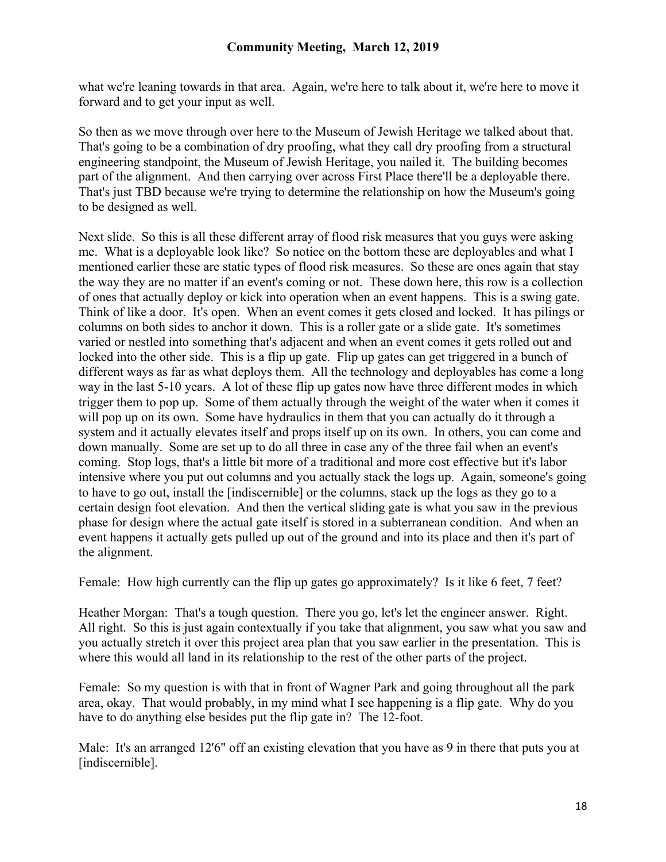what we're leaning towards in that area. Again, we're here to talk about it, we're here to move it forward and to get your input as well.

So then as we move through over here to the Museum of Jewish Heritage we talked about that. That's going to be a combination of dry proofing, what they call dry proofing from a structural engineering standpoint, the Museum of Jewish Heritage, you nailed it. The building becomes part of the alignment. And then carrying over across First Place there'll be a deployable there. That's just TBD because we're trying to determine the relationship on how the Museum's going to be designed as well.

Next slide. So this is all these different array of flood risk measures that you guys were asking me. What is a deployable look like? So notice on the bottom these are deployables and what I mentioned earlier these are static types of flood risk measures. So these are ones again that stay the way they are no matter if an event's coming or not. These down here, this row is a collection of ones that actually deploy or kick into operation when an event happens. This is a swing gate. Think of like a door. It's open. When an event comes it gets closed and locked. It has pilings or columns on both sides to anchor it down. This is a roller gate or a slide gate. It's sometimes varied or nestled into something that's adjacent and when an event comes it gets rolled out and locked into the other side. This is a flip up gate. Flip up gates can get triggered in a bunch of different ways as far as what deploys them. All the technology and deployables has come a long way in the last 5-10 years. A lot of these flip up gates now have three different modes in which trigger them to pop up. Some of them actually through the weight of the water when it comes it will pop up on its own. Some have hydraulics in them that you can actually do it through a system and it actually elevates itself and props itself up on its own. In others, you can come and down manually. Some are set up to do all three in case any of the three fail when an event's coming. Stop logs, that's a little bit more of a traditional and more cost effective but it's labor intensive where you put out columns and you actually stack the logs up. Again, someone's going to have to go out, install the [indiscernible] or the columns, stack up the logs as they go to a certain design foot elevation. And then the vertical sliding gate is what you saw in the previous phase for design where the actual gate itself is stored in a subterranean condition. And when an event happens it actually gets pulled up out of the ground and into its place and then it's part of the alignment.

Female: How high currently can the flip up gates go approximately? Is it like 6 feet, 7 feet?

Heather Morgan: That's a tough question. There you go, let's let the engineer answer. Right. All right. So this is just again contextually if you take that alignment, you saw what you saw and you actually stretch it over this project area plan that you saw earlier in the presentation. This is where this would all land in its relationship to the rest of the other parts of the project.

Female: So my question is with that in front of Wagner Park and going throughout all the park area, okay. That would probably, in my mind what I see happening is a flip gate. Why do you have to do anything else besides put the flip gate in? The 12-foot.

Male: It's an arranged 12'6" off an existing elevation that you have as 9 in there that puts you at [indiscernible].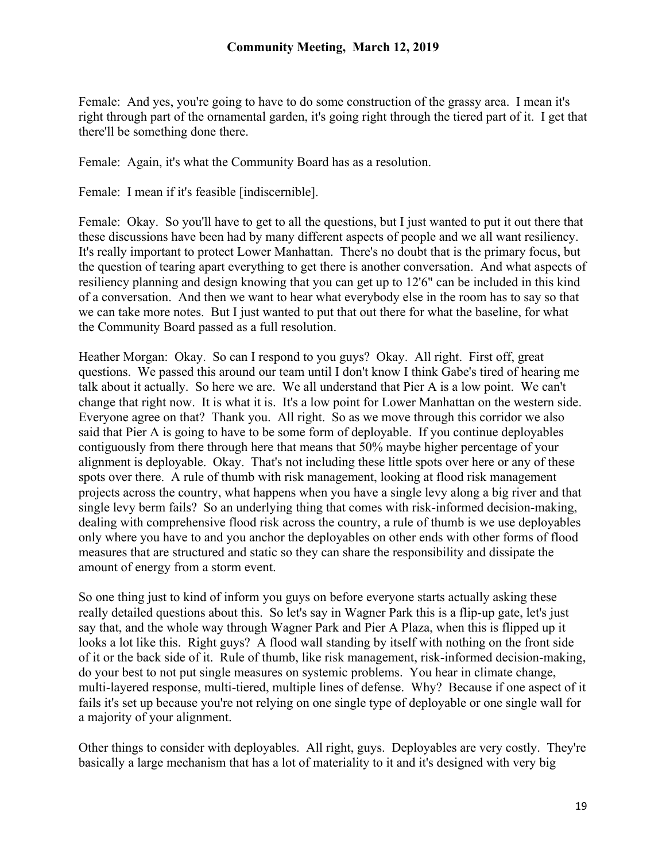Female: And yes, you're going to have to do some construction of the grassy area. I mean it's right through part of the ornamental garden, it's going right through the tiered part of it. I get that there'll be something done there.

Female: Again, it's what the Community Board has as a resolution.

Female: I mean if it's feasible [indiscernible].

Female: Okay. So you'll have to get to all the questions, but I just wanted to put it out there that these discussions have been had by many different aspects of people and we all want resiliency. It's really important to protect Lower Manhattan. There's no doubt that is the primary focus, but the question of tearing apart everything to get there is another conversation. And what aspects of resiliency planning and design knowing that you can get up to 12'6" can be included in this kind of a conversation. And then we want to hear what everybody else in the room has to say so that we can take more notes. But I just wanted to put that out there for what the baseline, for what the Community Board passed as a full resolution.

Heather Morgan: Okay. So can I respond to you guys? Okay. All right. First off, great questions. We passed this around our team until I don't know I think Gabe's tired of hearing me talk about it actually. So here we are. We all understand that Pier A is a low point. We can't change that right now. It is what it is. It's a low point for Lower Manhattan on the western side. Everyone agree on that? Thank you. All right. So as we move through this corridor we also said that Pier A is going to have to be some form of deployable. If you continue deployables contiguously from there through here that means that 50% maybe higher percentage of your alignment is deployable. Okay. That's not including these little spots over here or any of these spots over there. A rule of thumb with risk management, looking at flood risk management projects across the country, what happens when you have a single levy along a big river and that single levy berm fails? So an underlying thing that comes with risk-informed decision-making, dealing with comprehensive flood risk across the country, a rule of thumb is we use deployables only where you have to and you anchor the deployables on other ends with other forms of flood measures that are structured and static so they can share the responsibility and dissipate the amount of energy from a storm event.

So one thing just to kind of inform you guys on before everyone starts actually asking these really detailed questions about this. So let's say in Wagner Park this is a flip-up gate, let's just say that, and the whole way through Wagner Park and Pier A Plaza, when this is flipped up it looks a lot like this. Right guys? A flood wall standing by itself with nothing on the front side of it or the back side of it. Rule of thumb, like risk management, risk-informed decision-making, do your best to not put single measures on systemic problems. You hear in climate change, multi-layered response, multi-tiered, multiple lines of defense. Why? Because if one aspect of it fails it's set up because you're not relying on one single type of deployable or one single wall for a majority of your alignment.

Other things to consider with deployables. All right, guys. Deployables are very costly. They're basically a large mechanism that has a lot of materiality to it and it's designed with very big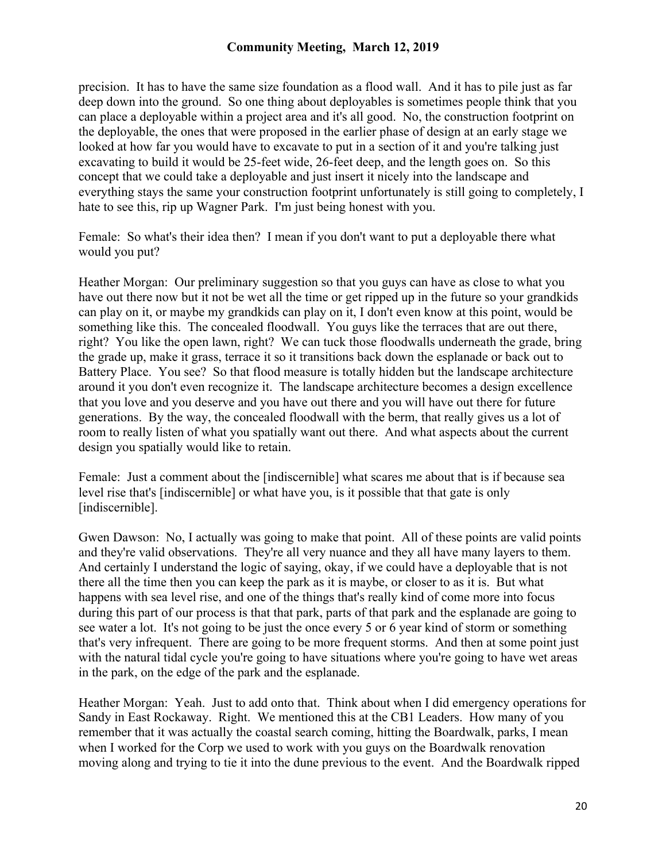precision. It has to have the same size foundation as a flood wall. And it has to pile just as far deep down into the ground. So one thing about deployables is sometimes people think that you can place a deployable within a project area and it's all good. No, the construction footprint on the deployable, the ones that were proposed in the earlier phase of design at an early stage we looked at how far you would have to excavate to put in a section of it and you're talking just excavating to build it would be 25-feet wide, 26-feet deep, and the length goes on. So this concept that we could take a deployable and just insert it nicely into the landscape and everything stays the same your construction footprint unfortunately is still going to completely, I hate to see this, rip up Wagner Park. I'm just being honest with you.

Female: So what's their idea then? I mean if you don't want to put a deployable there what would you put?

Heather Morgan: Our preliminary suggestion so that you guys can have as close to what you have out there now but it not be wet all the time or get ripped up in the future so your grandkids can play on it, or maybe my grandkids can play on it, I don't even know at this point, would be something like this. The concealed floodwall. You guys like the terraces that are out there, right? You like the open lawn, right? We can tuck those floodwalls underneath the grade, bring the grade up, make it grass, terrace it so it transitions back down the esplanade or back out to Battery Place. You see? So that flood measure is totally hidden but the landscape architecture around it you don't even recognize it. The landscape architecture becomes a design excellence that you love and you deserve and you have out there and you will have out there for future generations. By the way, the concealed floodwall with the berm, that really gives us a lot of room to really listen of what you spatially want out there. And what aspects about the current design you spatially would like to retain.

Female: Just a comment about the [indiscernible] what scares me about that is if because sea level rise that's [indiscernible] or what have you, is it possible that that gate is only [indiscernible].

Gwen Dawson: No, I actually was going to make that point. All of these points are valid points and they're valid observations. They're all very nuance and they all have many layers to them. And certainly I understand the logic of saying, okay, if we could have a deployable that is not there all the time then you can keep the park as it is maybe, or closer to as it is. But what happens with sea level rise, and one of the things that's really kind of come more into focus during this part of our process is that that park, parts of that park and the esplanade are going to see water a lot. It's not going to be just the once every 5 or 6 year kind of storm or something that's very infrequent. There are going to be more frequent storms. And then at some point just with the natural tidal cycle you're going to have situations where you're going to have wet areas in the park, on the edge of the park and the esplanade.

Heather Morgan: Yeah. Just to add onto that. Think about when I did emergency operations for Sandy in East Rockaway. Right. We mentioned this at the CB1 Leaders. How many of you remember that it was actually the coastal search coming, hitting the Boardwalk, parks, I mean when I worked for the Corp we used to work with you guys on the Boardwalk renovation moving along and trying to tie it into the dune previous to the event. And the Boardwalk ripped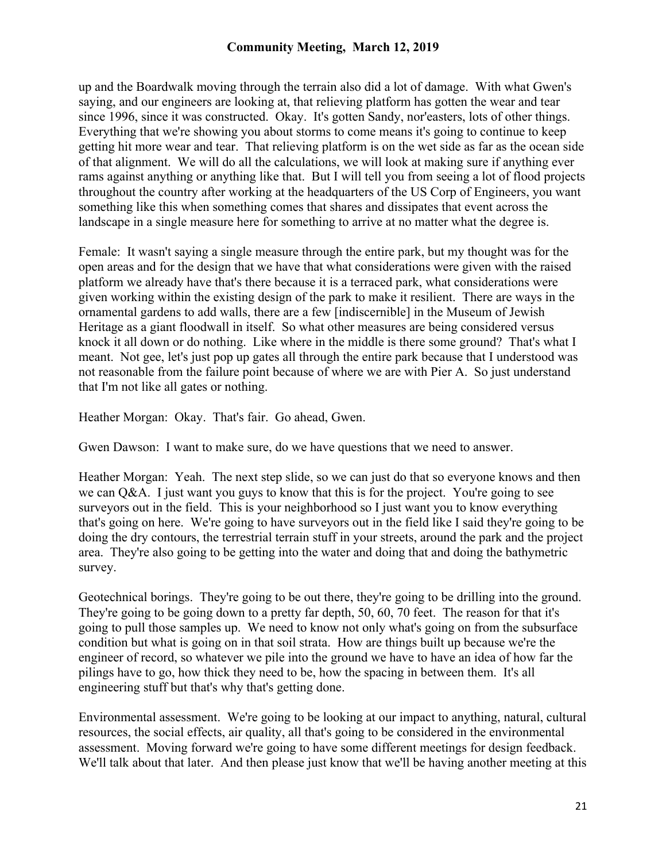up and the Boardwalk moving through the terrain also did a lot of damage. With what Gwen's saying, and our engineers are looking at, that relieving platform has gotten the wear and tear since 1996, since it was constructed. Okay. It's gotten Sandy, nor'easters, lots of other things. Everything that we're showing you about storms to come means it's going to continue to keep getting hit more wear and tear. That relieving platform is on the wet side as far as the ocean side of that alignment. We will do all the calculations, we will look at making sure if anything ever rams against anything or anything like that. But I will tell you from seeing a lot of flood projects throughout the country after working at the headquarters of the US Corp of Engineers, you want something like this when something comes that shares and dissipates that event across the landscape in a single measure here for something to arrive at no matter what the degree is.

Female: It wasn't saying a single measure through the entire park, but my thought was for the open areas and for the design that we have that what considerations were given with the raised platform we already have that's there because it is a terraced park, what considerations were given working within the existing design of the park to make it resilient. There are ways in the ornamental gardens to add walls, there are a few [indiscernible] in the Museum of Jewish Heritage as a giant floodwall in itself. So what other measures are being considered versus knock it all down or do nothing. Like where in the middle is there some ground? That's what I meant. Not gee, let's just pop up gates all through the entire park because that I understood was not reasonable from the failure point because of where we are with Pier A. So just understand that I'm not like all gates or nothing.

Heather Morgan: Okay. That's fair. Go ahead, Gwen.

Gwen Dawson: I want to make sure, do we have questions that we need to answer.

Heather Morgan: Yeah. The next step slide, so we can just do that so everyone knows and then we can  $O&A$ . I just want you guys to know that this is for the project. You're going to see surveyors out in the field. This is your neighborhood so I just want you to know everything that's going on here. We're going to have surveyors out in the field like I said they're going to be doing the dry contours, the terrestrial terrain stuff in your streets, around the park and the project area. They're also going to be getting into the water and doing that and doing the bathymetric survey.

Geotechnical borings. They're going to be out there, they're going to be drilling into the ground. They're going to be going down to a pretty far depth, 50, 60, 70 feet. The reason for that it's going to pull those samples up. We need to know not only what's going on from the subsurface condition but what is going on in that soil strata. How are things built up because we're the engineer of record, so whatever we pile into the ground we have to have an idea of how far the pilings have to go, how thick they need to be, how the spacing in between them. It's all engineering stuff but that's why that's getting done.

Environmental assessment. We're going to be looking at our impact to anything, natural, cultural resources, the social effects, air quality, all that's going to be considered in the environmental assessment. Moving forward we're going to have some different meetings for design feedback. We'll talk about that later. And then please just know that we'll be having another meeting at this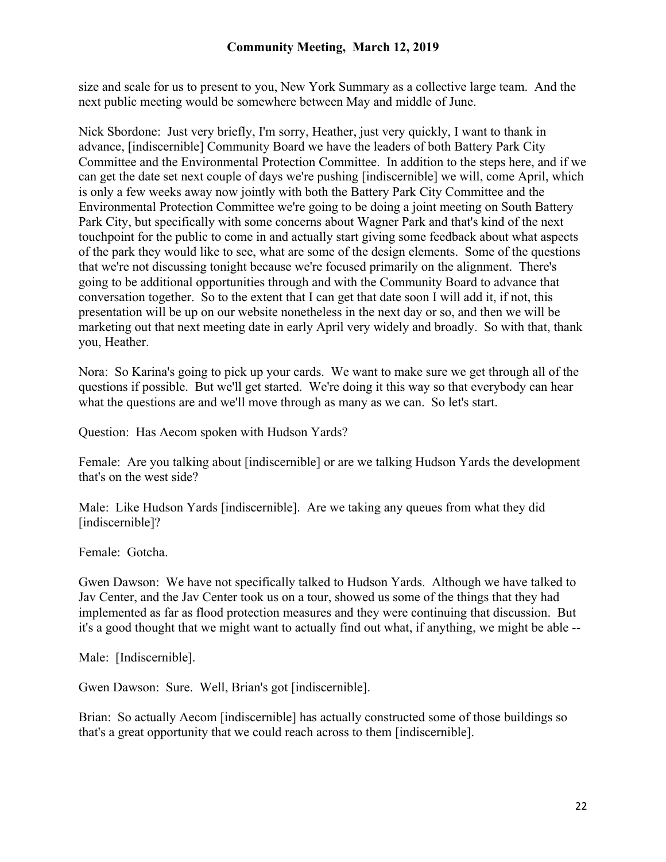size and scale for us to present to you, New York Summary as a collective large team. And the next public meeting would be somewhere between May and middle of June.

Nick Sbordone: Just very briefly, I'm sorry, Heather, just very quickly, I want to thank in advance, [indiscernible] Community Board we have the leaders of both Battery Park City Committee and the Environmental Protection Committee. In addition to the steps here, and if we can get the date set next couple of days we're pushing [indiscernible] we will, come April, which is only a few weeks away now jointly with both the Battery Park City Committee and the Environmental Protection Committee we're going to be doing a joint meeting on South Battery Park City, but specifically with some concerns about Wagner Park and that's kind of the next touchpoint for the public to come in and actually start giving some feedback about what aspects of the park they would like to see, what are some of the design elements. Some of the questions that we're not discussing tonight because we're focused primarily on the alignment. There's going to be additional opportunities through and with the Community Board to advance that conversation together. So to the extent that I can get that date soon I will add it, if not, this presentation will be up on our website nonetheless in the next day or so, and then we will be marketing out that next meeting date in early April very widely and broadly. So with that, thank you, Heather.

Nora: So Karina's going to pick up your cards. We want to make sure we get through all of the questions if possible. But we'll get started. We're doing it this way so that everybody can hear what the questions are and we'll move through as many as we can. So let's start.

Question: Has Aecom spoken with Hudson Yards?

Female: Are you talking about [indiscernible] or are we talking Hudson Yards the development that's on the west side?

Male: Like Hudson Yards [indiscernible]. Are we taking any queues from what they did [indiscernible]?

Female: Gotcha.

Gwen Dawson: We have not specifically talked to Hudson Yards. Although we have talked to Jav Center, and the Jav Center took us on a tour, showed us some of the things that they had implemented as far as flood protection measures and they were continuing that discussion. But it's a good thought that we might want to actually find out what, if anything, we might be able --

Male: [Indiscernible].

Gwen Dawson: Sure. Well, Brian's got [indiscernible].

Brian: So actually Aecom [indiscernible] has actually constructed some of those buildings so that's a great opportunity that we could reach across to them [indiscernible].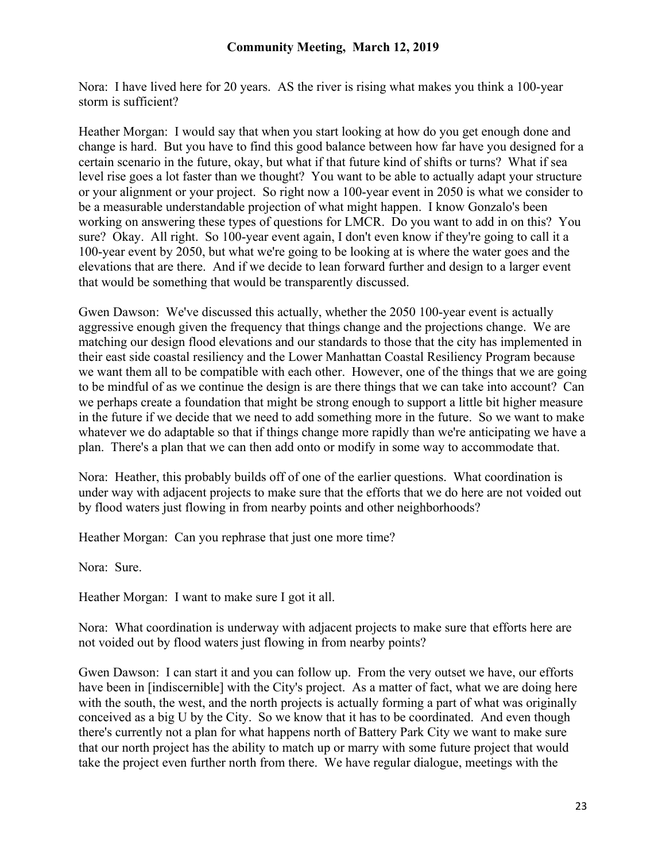Nora: I have lived here for 20 years. AS the river is rising what makes you think a 100-year storm is sufficient?

Heather Morgan: I would say that when you start looking at how do you get enough done and change is hard. But you have to find this good balance between how far have you designed for a certain scenario in the future, okay, but what if that future kind of shifts or turns? What if sea level rise goes a lot faster than we thought? You want to be able to actually adapt your structure or your alignment or your project. So right now a 100-year event in 2050 is what we consider to be a measurable understandable projection of what might happen. I know Gonzalo's been working on answering these types of questions for LMCR. Do you want to add in on this? You sure? Okay. All right. So 100-year event again, I don't even know if they're going to call it a 100-year event by 2050, but what we're going to be looking at is where the water goes and the elevations that are there. And if we decide to lean forward further and design to a larger event that would be something that would be transparently discussed.

Gwen Dawson: We've discussed this actually, whether the 2050 100-year event is actually aggressive enough given the frequency that things change and the projections change. We are matching our design flood elevations and our standards to those that the city has implemented in their east side coastal resiliency and the Lower Manhattan Coastal Resiliency Program because we want them all to be compatible with each other. However, one of the things that we are going to be mindful of as we continue the design is are there things that we can take into account? Can we perhaps create a foundation that might be strong enough to support a little bit higher measure in the future if we decide that we need to add something more in the future. So we want to make whatever we do adaptable so that if things change more rapidly than we're anticipating we have a plan. There's a plan that we can then add onto or modify in some way to accommodate that.

Nora: Heather, this probably builds off of one of the earlier questions. What coordination is under way with adjacent projects to make sure that the efforts that we do here are not voided out by flood waters just flowing in from nearby points and other neighborhoods?

Heather Morgan: Can you rephrase that just one more time?

Nora: Sure.

Heather Morgan: I want to make sure I got it all.

Nora: What coordination is underway with adjacent projects to make sure that efforts here are not voided out by flood waters just flowing in from nearby points?

Gwen Dawson: I can start it and you can follow up. From the very outset we have, our efforts have been in [indiscernible] with the City's project. As a matter of fact, what we are doing here with the south, the west, and the north projects is actually forming a part of what was originally conceived as a big U by the City. So we know that it has to be coordinated. And even though there's currently not a plan for what happens north of Battery Park City we want to make sure that our north project has the ability to match up or marry with some future project that would take the project even further north from there. We have regular dialogue, meetings with the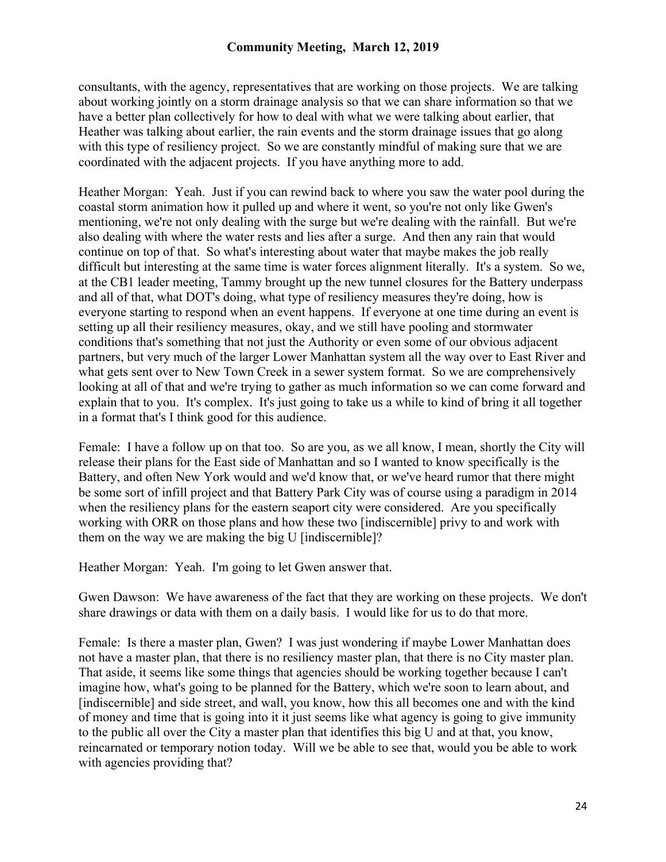consultants, with the agency, representatives that are working on those projects. We are talking about working jointly on a storm drainage analysis so that we can share information so that we have a better plan collectively for how to deal with what we were talking about earlier, that Heather was talking about earlier, the rain events and the storm drainage issues that go along with this type of resiliency project. So we are constantly mindful of making sure that we are coordinated with the adjacent projects. If you have anything more to add.

Heather Morgan: Yeah. Just if you can rewind back to where you saw the water pool during the coastal storm animation how it pulled up and where it went, so you're not only like Gwen's mentioning, we're not only dealing with the surge but we're dealing with the rainfall. But we're also dealing with where the water rests and lies after a surge. And then any rain that would continue on top of that. So what's interesting about water that maybe makes the job really difficult but interesting at the same time is water forces alignment literally. It's a system. So we, at the CB1 leader meeting, Tammy brought up the new tunnel closures for the Battery underpass and all of that, what DOT's doing, what type of resiliency measures they're doing, how is everyone starting to respond when an event happens. If everyone at one time during an event is setting up all their resiliency measures, okay, and we still have pooling and stormwater conditions that's something that not just the Authority or even some of our obvious adjacent partners, but very much of the larger Lower Manhattan system all the way over to East River and what gets sent over to New Town Creek in a sewer system format. So we are comprehensively looking at all of that and we're trying to gather as much information so we can come forward and explain that to you. It's complex. It's just going to take us a while to kind of bring it all together in a format that's I think good for this audience.

Female: I have a follow up on that too. So are you, as we all know, I mean, shortly the City will release their plans for the East side of Manhattan and so I wanted to know specifically is the Battery, and often New York would and we'd know that, or we've heard rumor that there might be some sort of infill project and that Battery Park City was of course using a paradigm in 2014 when the resiliency plans for the eastern seaport city were considered. Are you specifically working with ORR on those plans and how these two [indiscernible] privy to and work with them on the way we are making the big U [indiscernible]?

Heather Morgan: Yeah. I'm going to let Gwen answer that.

Gwen Dawson: We have awareness of the fact that they are working on these projects. We don't share drawings or data with them on a daily basis. I would like for us to do that more.

Female: Is there a master plan, Gwen? I was just wondering if maybe Lower Manhattan does not have a master plan, that there is no resiliency master plan, that there is no City master plan. That aside, it seems like some things that agencies should be working together because I can't imagine how, what's going to be planned for the Battery, which we're soon to learn about, and [indiscernible] and side street, and wall, you know, how this all becomes one and with the kind of money and time that is going into it it just seems like what agency is going to give immunity to the public all over the City a master plan that identifies this big U and at that, you know, reincarnated or temporary notion today. Will we be able to see that, would you be able to work with agencies providing that?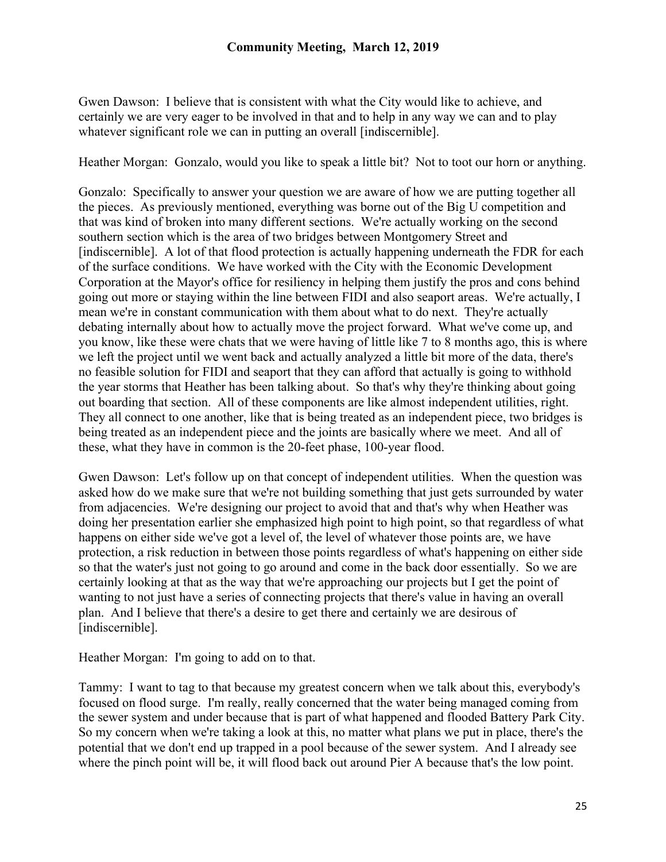Gwen Dawson: I believe that is consistent with what the City would like to achieve, and certainly we are very eager to be involved in that and to help in any way we can and to play whatever significant role we can in putting an overall [indiscernible].

Heather Morgan: Gonzalo, would you like to speak a little bit? Not to toot our horn or anything.

Gonzalo: Specifically to answer your question we are aware of how we are putting together all the pieces. As previously mentioned, everything was borne out of the Big U competition and that was kind of broken into many different sections. We're actually working on the second southern section which is the area of two bridges between Montgomery Street and [indiscernible]. A lot of that flood protection is actually happening underneath the FDR for each of the surface conditions. We have worked with the City with the Economic Development Corporation at the Mayor's office for resiliency in helping them justify the pros and cons behind going out more or staying within the line between FIDI and also seaport areas. We're actually, I mean we're in constant communication with them about what to do next. They're actually debating internally about how to actually move the project forward. What we've come up, and you know, like these were chats that we were having of little like 7 to 8 months ago, this is where we left the project until we went back and actually analyzed a little bit more of the data, there's no feasible solution for FIDI and seaport that they can afford that actually is going to withhold the year storms that Heather has been talking about. So that's why they're thinking about going out boarding that section. All of these components are like almost independent utilities, right. They all connect to one another, like that is being treated as an independent piece, two bridges is being treated as an independent piece and the joints are basically where we meet. And all of these, what they have in common is the 20-feet phase, 100-year flood.

Gwen Dawson: Let's follow up on that concept of independent utilities. When the question was asked how do we make sure that we're not building something that just gets surrounded by water from adjacencies. We're designing our project to avoid that and that's why when Heather was doing her presentation earlier she emphasized high point to high point, so that regardless of what happens on either side we've got a level of, the level of whatever those points are, we have protection, a risk reduction in between those points regardless of what's happening on either side so that the water's just not going to go around and come in the back door essentially. So we are certainly looking at that as the way that we're approaching our projects but I get the point of wanting to not just have a series of connecting projects that there's value in having an overall plan. And I believe that there's a desire to get there and certainly we are desirous of [indiscernible].

Heather Morgan: I'm going to add on to that.

Tammy: I want to tag to that because my greatest concern when we talk about this, everybody's focused on flood surge. I'm really, really concerned that the water being managed coming from the sewer system and under because that is part of what happened and flooded Battery Park City. So my concern when we're taking a look at this, no matter what plans we put in place, there's the potential that we don't end up trapped in a pool because of the sewer system. And I already see where the pinch point will be, it will flood back out around Pier A because that's the low point.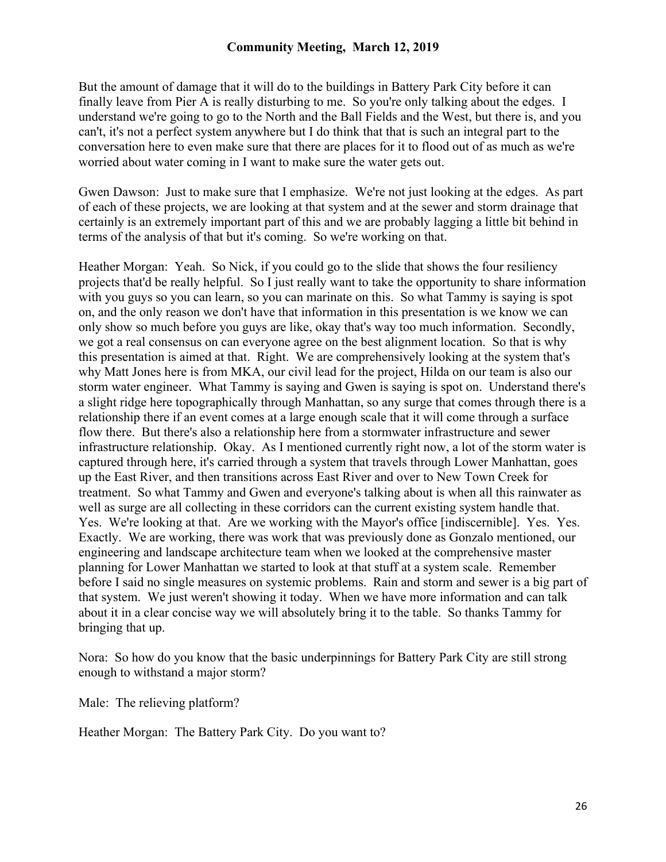But the amount of damage that it will do to the buildings in Battery Park City before it can finally leave from Pier A is really disturbing to me. So you're only talking about the edges. I understand we're going to go to the North and the Ball Fields and the West, but there is, and you can't, it's not a perfect system anywhere but I do think that that is such an integral part to the conversation here to even make sure that there are places for it to flood out of as much as we're worried about water coming in I want to make sure the water gets out.

Gwen Dawson: Just to make sure that I emphasize. We're not just looking at the edges. As part of each of these projects, we are looking at that system and at the sewer and storm drainage that certainly is an extremely important part of this and we are probably lagging a little bit behind in terms of the analysis of that but it's coming. So we're working on that.

Heather Morgan: Yeah. So Nick, if you could go to the slide that shows the four resiliency projects that'd be really helpful. So I just really want to take the opportunity to share information with you guys so you can learn, so you can marinate on this. So what Tammy is saying is spot on, and the only reason we don't have that information in this presentation is we know we can only show so much before you guys are like, okay that's way too much information. Secondly, we got a real consensus on can everyone agree on the best alignment location. So that is why this presentation is aimed at that. Right. We are comprehensively looking at the system that's why Matt Jones here is from MKA, our civil lead for the project, Hilda on our team is also our storm water engineer. What Tammy is saying and Gwen is saying is spot on. Understand there's a slight ridge here topographically through Manhattan, so any surge that comes through there is a relationship there if an event comes at a large enough scale that it will come through a surface flow there. But there's also a relationship here from a stormwater infrastructure and sewer infrastructure relationship. Okay. As I mentioned currently right now, a lot of the storm water is captured through here, it's carried through a system that travels through Lower Manhattan, goes up the East River, and then transitions across East River and over to New Town Creek for treatment. So what Tammy and Gwen and everyone's talking about is when all this rainwater as well as surge are all collecting in these corridors can the current existing system handle that. Yes. We're looking at that. Are we working with the Mayor's office [indiscernible]. Yes. Yes. Exactly. We are working, there was work that was previously done as Gonzalo mentioned, our engineering and landscape architecture team when we looked at the comprehensive master planning for Lower Manhattan we started to look at that stuff at a system scale. Remember before I said no single measures on systemic problems. Rain and storm and sewer is a big part of that system. We just weren't showing it today. When we have more information and can talk about it in a clear concise way we will absolutely bring it to the table. So thanks Tammy for bringing that up.

Nora: So how do you know that the basic underpinnings for Battery Park City are still strong enough to withstand a major storm?

Male: The relieving platform?

Heather Morgan: The Battery Park City. Do you want to?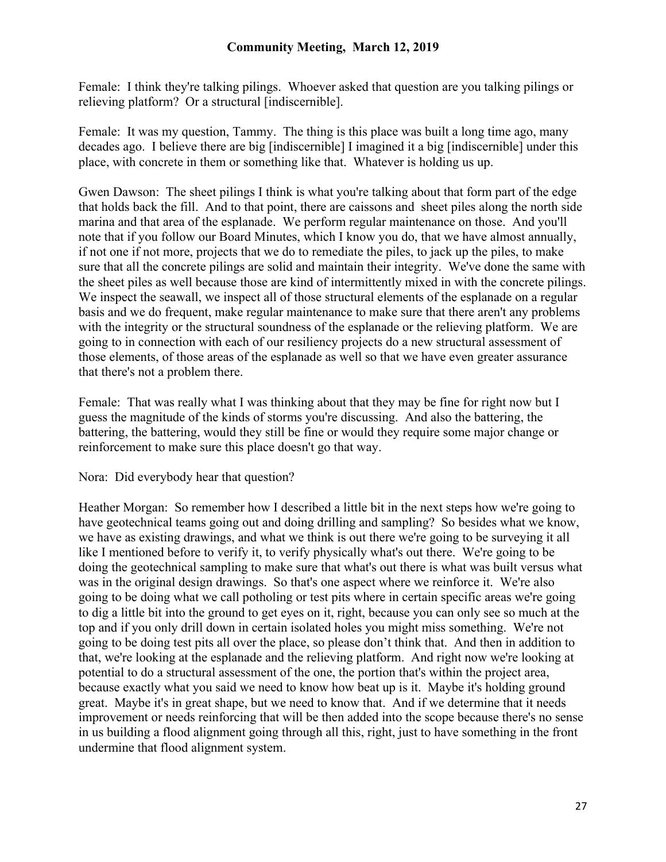Female: I think they're talking pilings. Whoever asked that question are you talking pilings or relieving platform? Or a structural [indiscernible].

Female: It was my question, Tammy. The thing is this place was built a long time ago, many decades ago. I believe there are big [indiscernible] I imagined it a big [indiscernible] under this place, with concrete in them or something like that. Whatever is holding us up.

Gwen Dawson: The sheet pilings I think is what you're talking about that form part of the edge that holds back the fill. And to that point, there are caissons and sheet piles along the north side marina and that area of the esplanade. We perform regular maintenance on those. And you'll note that if you follow our Board Minutes, which I know you do, that we have almost annually, if not one if not more, projects that we do to remediate the piles, to jack up the piles, to make sure that all the concrete pilings are solid and maintain their integrity. We've done the same with the sheet piles as well because those are kind of intermittently mixed in with the concrete pilings. We inspect the seawall, we inspect all of those structural elements of the esplanade on a regular basis and we do frequent, make regular maintenance to make sure that there aren't any problems with the integrity or the structural soundness of the esplanade or the relieving platform. We are going to in connection with each of our resiliency projects do a new structural assessment of those elements, of those areas of the esplanade as well so that we have even greater assurance that there's not a problem there.

Female: That was really what I was thinking about that they may be fine for right now but I guess the magnitude of the kinds of storms you're discussing. And also the battering, the battering, the battering, would they still be fine or would they require some major change or reinforcement to make sure this place doesn't go that way.

Nora: Did everybody hear that question?

Heather Morgan: So remember how I described a little bit in the next steps how we're going to have geotechnical teams going out and doing drilling and sampling? So besides what we know, we have as existing drawings, and what we think is out there we're going to be surveying it all like I mentioned before to verify it, to verify physically what's out there. We're going to be doing the geotechnical sampling to make sure that what's out there is what was built versus what was in the original design drawings. So that's one aspect where we reinforce it. We're also going to be doing what we call potholing or test pits where in certain specific areas we're going to dig a little bit into the ground to get eyes on it, right, because you can only see so much at the top and if you only drill down in certain isolated holes you might miss something. We're not going to be doing test pits all over the place, so please don't think that. And then in addition to that, we're looking at the esplanade and the relieving platform. And right now we're looking at potential to do a structural assessment of the one, the portion that's within the project area, because exactly what you said we need to know how beat up is it. Maybe it's holding ground great. Maybe it's in great shape, but we need to know that. And if we determine that it needs improvement or needs reinforcing that will be then added into the scope because there's no sense in us building a flood alignment going through all this, right, just to have something in the front undermine that flood alignment system.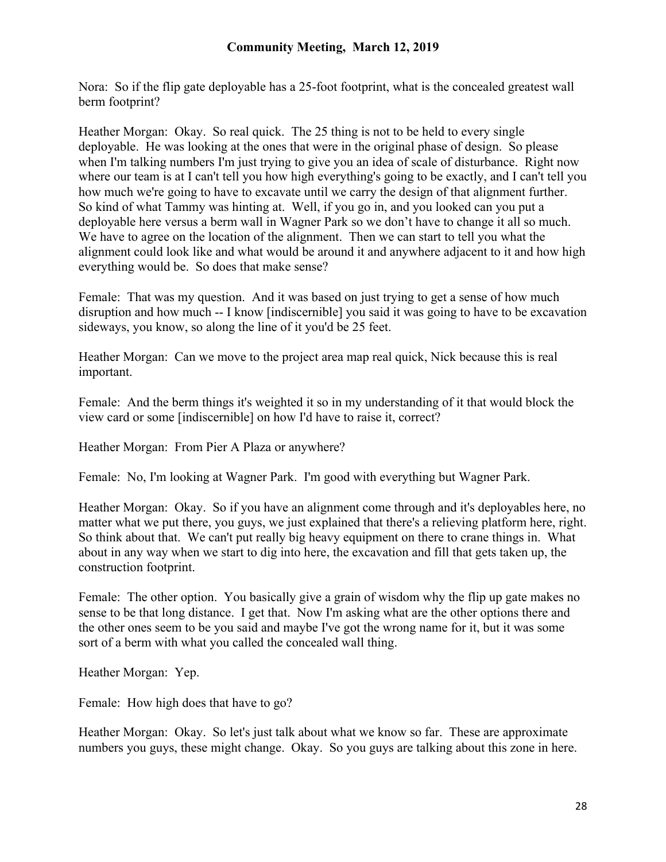Nora: So if the flip gate deployable has a 25-foot footprint, what is the concealed greatest wall berm footprint?

Heather Morgan: Okay. So real quick. The 25 thing is not to be held to every single deployable. He was looking at the ones that were in the original phase of design. So please when I'm talking numbers I'm just trying to give you an idea of scale of disturbance. Right now where our team is at I can't tell you how high everything's going to be exactly, and I can't tell you how much we're going to have to excavate until we carry the design of that alignment further. So kind of what Tammy was hinting at. Well, if you go in, and you looked can you put a deployable here versus a berm wall in Wagner Park so we don't have to change it all so much. We have to agree on the location of the alignment. Then we can start to tell you what the alignment could look like and what would be around it and anywhere adjacent to it and how high everything would be. So does that make sense?

Female: That was my question. And it was based on just trying to get a sense of how much disruption and how much -- I know [indiscernible] you said it was going to have to be excavation sideways, you know, so along the line of it you'd be 25 feet.

Heather Morgan: Can we move to the project area map real quick, Nick because this is real important.

Female: And the berm things it's weighted it so in my understanding of it that would block the view card or some [indiscernible] on how I'd have to raise it, correct?

Heather Morgan: From Pier A Plaza or anywhere?

Female: No, I'm looking at Wagner Park. I'm good with everything but Wagner Park.

Heather Morgan: Okay. So if you have an alignment come through and it's deployables here, no matter what we put there, you guys, we just explained that there's a relieving platform here, right. So think about that. We can't put really big heavy equipment on there to crane things in. What about in any way when we start to dig into here, the excavation and fill that gets taken up, the construction footprint.

Female: The other option. You basically give a grain of wisdom why the flip up gate makes no sense to be that long distance. I get that. Now I'm asking what are the other options there and the other ones seem to be you said and maybe I've got the wrong name for it, but it was some sort of a berm with what you called the concealed wall thing.

Heather Morgan: Yep.

Female: How high does that have to go?

Heather Morgan: Okay. So let's just talk about what we know so far. These are approximate numbers you guys, these might change. Okay. So you guys are talking about this zone in here.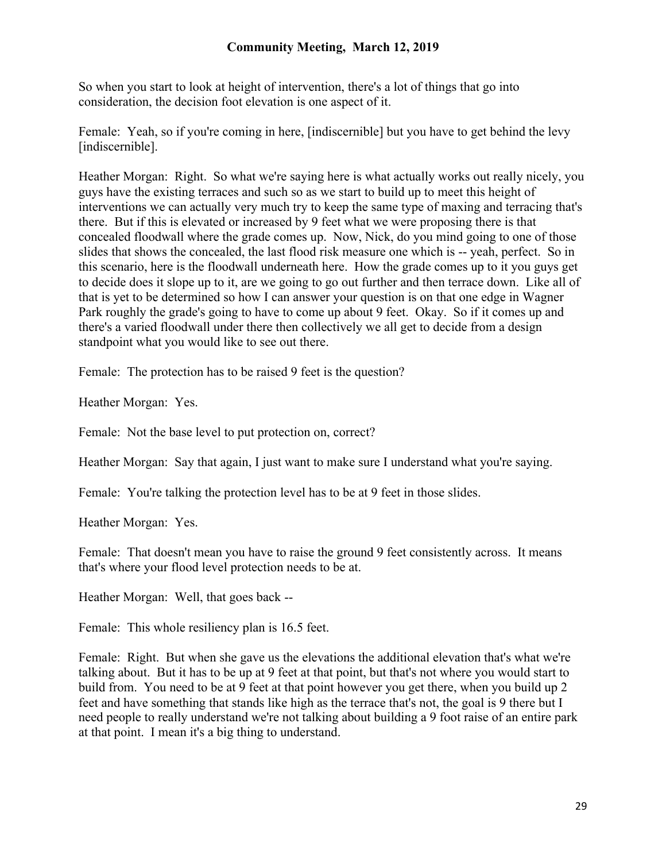So when you start to look at height of intervention, there's a lot of things that go into consideration, the decision foot elevation is one aspect of it.

Female: Yeah, so if you're coming in here, [indiscernible] but you have to get behind the levy [indiscernible].

Heather Morgan: Right. So what we're saying here is what actually works out really nicely, you guys have the existing terraces and such so as we start to build up to meet this height of interventions we can actually very much try to keep the same type of maxing and terracing that's there. But if this is elevated or increased by 9 feet what we were proposing there is that concealed floodwall where the grade comes up. Now, Nick, do you mind going to one of those slides that shows the concealed, the last flood risk measure one which is -- yeah, perfect. So in this scenario, here is the floodwall underneath here. How the grade comes up to it you guys get to decide does it slope up to it, are we going to go out further and then terrace down. Like all of that is yet to be determined so how I can answer your question is on that one edge in Wagner Park roughly the grade's going to have to come up about 9 feet. Okay. So if it comes up and there's a varied floodwall under there then collectively we all get to decide from a design standpoint what you would like to see out there.

Female: The protection has to be raised 9 feet is the question?

Heather Morgan: Yes.

Female: Not the base level to put protection on, correct?

Heather Morgan: Say that again, I just want to make sure I understand what you're saying.

Female: You're talking the protection level has to be at 9 feet in those slides.

Heather Morgan: Yes.

Female: That doesn't mean you have to raise the ground 9 feet consistently across. It means that's where your flood level protection needs to be at.

Heather Morgan: Well, that goes back --

Female: This whole resiliency plan is 16.5 feet.

Female: Right. But when she gave us the elevations the additional elevation that's what we're talking about. But it has to be up at 9 feet at that point, but that's not where you would start to build from. You need to be at 9 feet at that point however you get there, when you build up 2 feet and have something that stands like high as the terrace that's not, the goal is 9 there but I need people to really understand we're not talking about building a 9 foot raise of an entire park at that point. I mean it's a big thing to understand.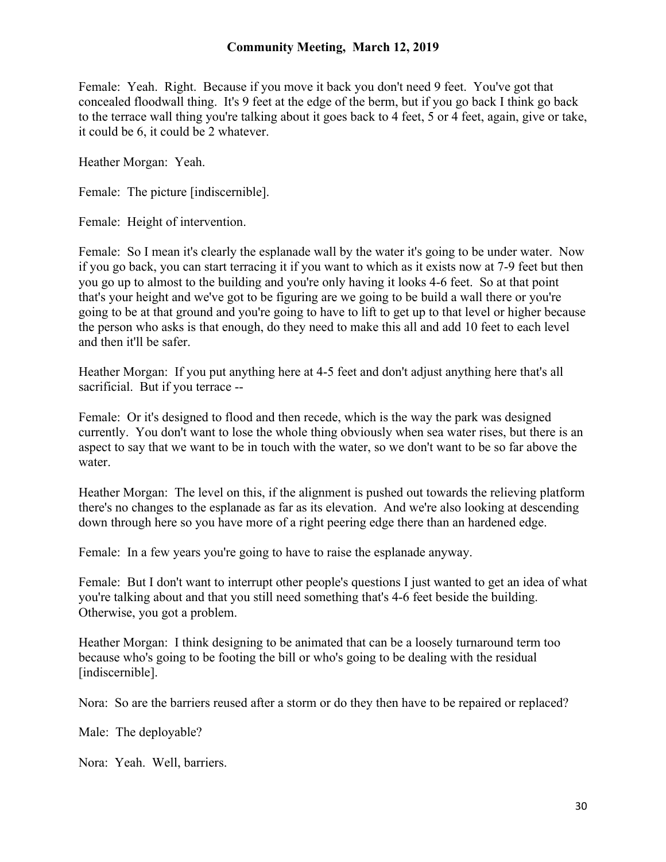Female: Yeah. Right. Because if you move it back you don't need 9 feet. You've got that concealed floodwall thing. It's 9 feet at the edge of the berm, but if you go back I think go back to the terrace wall thing you're talking about it goes back to 4 feet, 5 or 4 feet, again, give or take, it could be 6, it could be 2 whatever.

Heather Morgan: Yeah.

Female: The picture [indiscernible].

Female: Height of intervention.

Female: So I mean it's clearly the esplanade wall by the water it's going to be under water. Now if you go back, you can start terracing it if you want to which as it exists now at 7-9 feet but then you go up to almost to the building and you're only having it looks 4-6 feet. So at that point that's your height and we've got to be figuring are we going to be build a wall there or you're going to be at that ground and you're going to have to lift to get up to that level or higher because the person who asks is that enough, do they need to make this all and add 10 feet to each level and then it'll be safer.

Heather Morgan: If you put anything here at 4-5 feet and don't adjust anything here that's all sacrificial. But if you terrace --

Female: Or it's designed to flood and then recede, which is the way the park was designed currently. You don't want to lose the whole thing obviously when sea water rises, but there is an aspect to say that we want to be in touch with the water, so we don't want to be so far above the water.

Heather Morgan: The level on this, if the alignment is pushed out towards the relieving platform there's no changes to the esplanade as far as its elevation. And we're also looking at descending down through here so you have more of a right peering edge there than an hardened edge.

Female: In a few years you're going to have to raise the esplanade anyway.

Female: But I don't want to interrupt other people's questions I just wanted to get an idea of what you're talking about and that you still need something that's 4-6 feet beside the building. Otherwise, you got a problem.

Heather Morgan: I think designing to be animated that can be a loosely turnaround term too because who's going to be footing the bill or who's going to be dealing with the residual [indiscernible].

Nora: So are the barriers reused after a storm or do they then have to be repaired or replaced?

Male: The deployable?

Nora: Yeah. Well, barriers.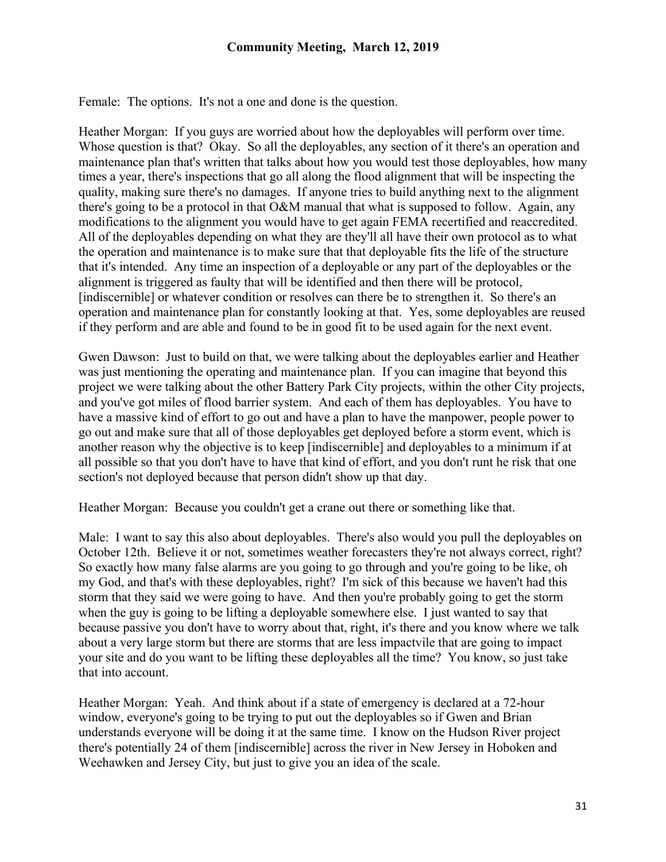Female: The options. It's not a one and done is the question.

Heather Morgan: If you guys are worried about how the deployables will perform over time. Whose question is that? Okay. So all the deployables, any section of it there's an operation and maintenance plan that's written that talks about how you would test those deployables, how many times a year, there's inspections that go all along the flood alignment that will be inspecting the quality, making sure there's no damages. If anyone tries to build anything next to the alignment there's going to be a protocol in that O&M manual that what is supposed to follow. Again, any modifications to the alignment you would have to get again FEMA recertified and reaccredited. All of the deployables depending on what they are they'll all have their own protocol as to what the operation and maintenance is to make sure that that deployable fits the life of the structure that it's intended. Any time an inspection of a deployable or any part of the deployables or the alignment is triggered as faulty that will be identified and then there will be protocol, [indiscernible] or whatever condition or resolves can there be to strengthen it. So there's an operation and maintenance plan for constantly looking at that. Yes, some deployables are reused if they perform and are able and found to be in good fit to be used again for the next event.

Gwen Dawson: Just to build on that, we were talking about the deployables earlier and Heather was just mentioning the operating and maintenance plan. If you can imagine that beyond this project we were talking about the other Battery Park City projects, within the other City projects, and you've got miles of flood barrier system. And each of them has deployables. You have to have a massive kind of effort to go out and have a plan to have the manpower, people power to go out and make sure that all of those deployables get deployed before a storm event, which is another reason why the objective is to keep [indiscernible] and deployables to a minimum if at all possible so that you don't have to have that kind of effort, and you don't runt he risk that one section's not deployed because that person didn't show up that day.

Heather Morgan: Because you couldn't get a crane out there or something like that.

Male: I want to say this also about deployables. There's also would you pull the deployables on October 12th. Believe it or not, sometimes weather forecasters they're not always correct, right? So exactly how many false alarms are you going to go through and you're going to be like, oh my God, and that's with these deployables, right? I'm sick of this because we haven't had this storm that they said we were going to have. And then you're probably going to get the storm when the guy is going to be lifting a deployable somewhere else. I just wanted to say that because passive you don't have to worry about that, right, it's there and you know where we talk about a very large storm but there are storms that are less impactvile that are going to impact your site and do you want to be lifting these deployables all the time? You know, so just take that into account.

Heather Morgan: Yeah. And think about if a state of emergency is declared at a 72-hour window, everyone's going to be trying to put out the deployables so if Gwen and Brian understands everyone will be doing it at the same time. I know on the Hudson River project there's potentially 24 of them [indiscernible] across the river in New Jersey in Hoboken and Weehawken and Jersey City, but just to give you an idea of the scale.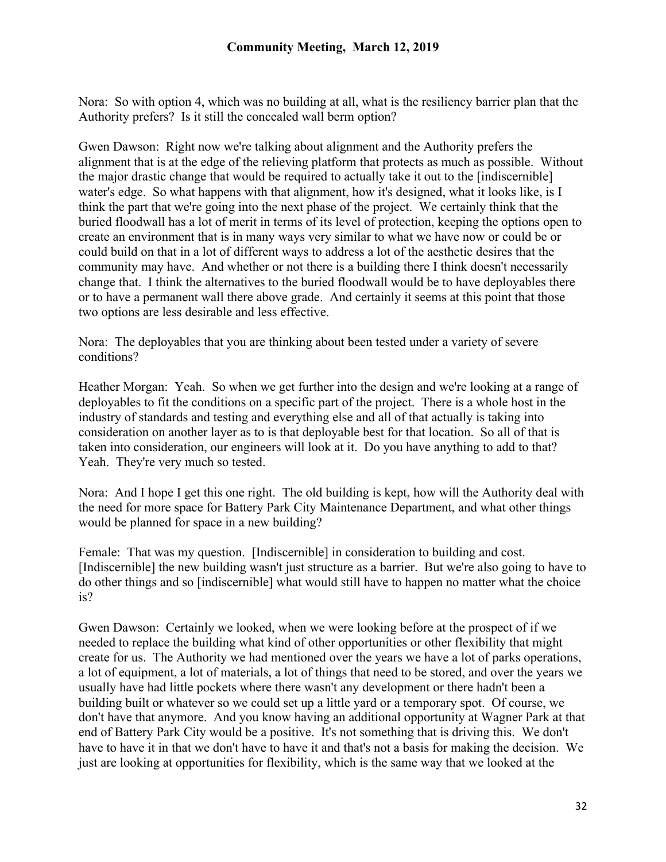Nora: So with option 4, which was no building at all, what is the resiliency barrier plan that the Authority prefers? Is it still the concealed wall berm option?

Gwen Dawson: Right now we're talking about alignment and the Authority prefers the alignment that is at the edge of the relieving platform that protects as much as possible. Without the major drastic change that would be required to actually take it out to the [indiscernible] water's edge. So what happens with that alignment, how it's designed, what it looks like, is I think the part that we're going into the next phase of the project. We certainly think that the buried floodwall has a lot of merit in terms of its level of protection, keeping the options open to create an environment that is in many ways very similar to what we have now or could be or could build on that in a lot of different ways to address a lot of the aesthetic desires that the community may have. And whether or not there is a building there I think doesn't necessarily change that. I think the alternatives to the buried floodwall would be to have deployables there or to have a permanent wall there above grade. And certainly it seems at this point that those two options are less desirable and less effective.

Nora: The deployables that you are thinking about been tested under a variety of severe conditions?

Heather Morgan: Yeah. So when we get further into the design and we're looking at a range of deployables to fit the conditions on a specific part of the project. There is a whole host in the industry of standards and testing and everything else and all of that actually is taking into consideration on another layer as to is that deployable best for that location. So all of that is taken into consideration, our engineers will look at it. Do you have anything to add to that? Yeah. They're very much so tested.

Nora: And I hope I get this one right. The old building is kept, how will the Authority deal with the need for more space for Battery Park City Maintenance Department, and what other things would be planned for space in a new building?

Female: That was my question. [Indiscernible] in consideration to building and cost. [Indiscernible] the new building wasn't just structure as a barrier. But we're also going to have to do other things and so [indiscernible] what would still have to happen no matter what the choice is?

Gwen Dawson: Certainly we looked, when we were looking before at the prospect of if we needed to replace the building what kind of other opportunities or other flexibility that might create for us. The Authority we had mentioned over the years we have a lot of parks operations, a lot of equipment, a lot of materials, a lot of things that need to be stored, and over the years we usually have had little pockets where there wasn't any development or there hadn't been a building built or whatever so we could set up a little yard or a temporary spot. Of course, we don't have that anymore. And you know having an additional opportunity at Wagner Park at that end of Battery Park City would be a positive. It's not something that is driving this. We don't have to have it in that we don't have to have it and that's not a basis for making the decision. We just are looking at opportunities for flexibility, which is the same way that we looked at the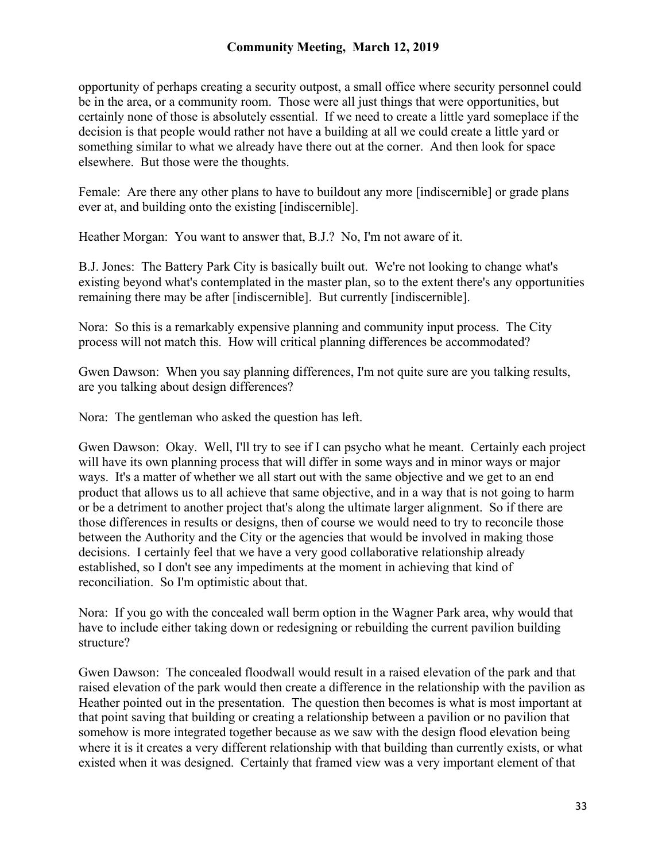opportunity of perhaps creating a security outpost, a small office where security personnel could be in the area, or a community room. Those were all just things that were opportunities, but certainly none of those is absolutely essential. If we need to create a little yard someplace if the decision is that people would rather not have a building at all we could create a little yard or something similar to what we already have there out at the corner. And then look for space elsewhere. But those were the thoughts.

Female: Are there any other plans to have to buildout any more [indiscernible] or grade plans ever at, and building onto the existing [indiscernible].

Heather Morgan: You want to answer that, B.J.? No, I'm not aware of it.

B.J. Jones: The Battery Park City is basically built out. We're not looking to change what's existing beyond what's contemplated in the master plan, so to the extent there's any opportunities remaining there may be after [indiscernible]. But currently [indiscernible].

Nora: So this is a remarkably expensive planning and community input process. The City process will not match this. How will critical planning differences be accommodated?

Gwen Dawson: When you say planning differences, I'm not quite sure are you talking results, are you talking about design differences?

Nora: The gentleman who asked the question has left.

Gwen Dawson: Okay. Well, I'll try to see if I can psycho what he meant. Certainly each project will have its own planning process that will differ in some ways and in minor ways or major ways. It's a matter of whether we all start out with the same objective and we get to an end product that allows us to all achieve that same objective, and in a way that is not going to harm or be a detriment to another project that's along the ultimate larger alignment. So if there are those differences in results or designs, then of course we would need to try to reconcile those between the Authority and the City or the agencies that would be involved in making those decisions. I certainly feel that we have a very good collaborative relationship already established, so I don't see any impediments at the moment in achieving that kind of reconciliation. So I'm optimistic about that.

Nora: If you go with the concealed wall berm option in the Wagner Park area, why would that have to include either taking down or redesigning or rebuilding the current pavilion building structure?

Gwen Dawson: The concealed floodwall would result in a raised elevation of the park and that raised elevation of the park would then create a difference in the relationship with the pavilion as Heather pointed out in the presentation. The question then becomes is what is most important at that point saving that building or creating a relationship between a pavilion or no pavilion that somehow is more integrated together because as we saw with the design flood elevation being where it is it creates a very different relationship with that building than currently exists, or what existed when it was designed. Certainly that framed view was a very important element of that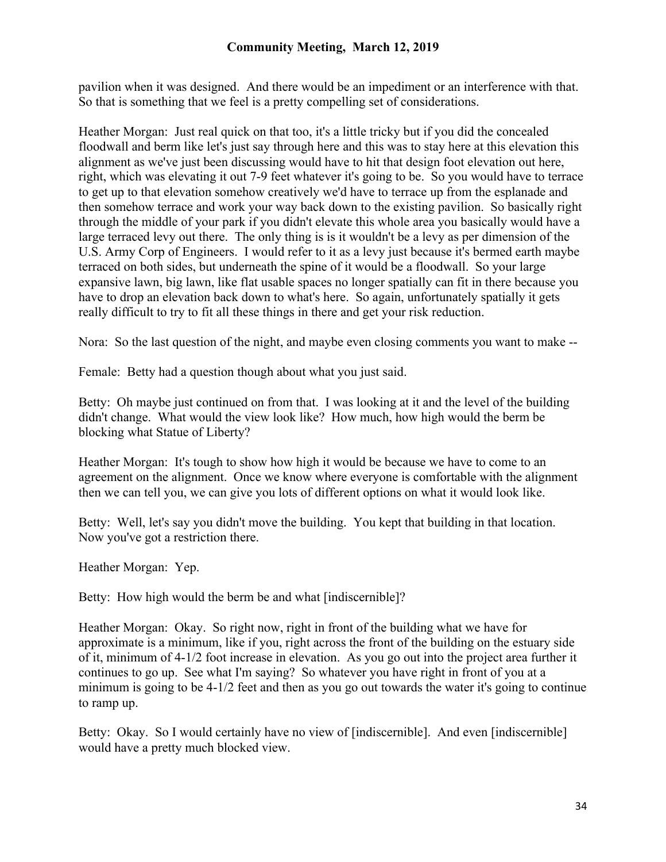pavilion when it was designed. And there would be an impediment or an interference with that. So that is something that we feel is a pretty compelling set of considerations.

Heather Morgan: Just real quick on that too, it's a little tricky but if you did the concealed floodwall and berm like let's just say through here and this was to stay here at this elevation this alignment as we've just been discussing would have to hit that design foot elevation out here, right, which was elevating it out 7-9 feet whatever it's going to be. So you would have to terrace to get up to that elevation somehow creatively we'd have to terrace up from the esplanade and then somehow terrace and work your way back down to the existing pavilion. So basically right through the middle of your park if you didn't elevate this whole area you basically would have a large terraced levy out there. The only thing is is it wouldn't be a levy as per dimension of the U.S. Army Corp of Engineers. I would refer to it as a levy just because it's bermed earth maybe terraced on both sides, but underneath the spine of it would be a floodwall. So your large expansive lawn, big lawn, like flat usable spaces no longer spatially can fit in there because you have to drop an elevation back down to what's here. So again, unfortunately spatially it gets really difficult to try to fit all these things in there and get your risk reduction.

Nora: So the last question of the night, and maybe even closing comments you want to make --

Female: Betty had a question though about what you just said.

Betty: Oh maybe just continued on from that. I was looking at it and the level of the building didn't change. What would the view look like? How much, how high would the berm be blocking what Statue of Liberty?

Heather Morgan: It's tough to show how high it would be because we have to come to an agreement on the alignment. Once we know where everyone is comfortable with the alignment then we can tell you, we can give you lots of different options on what it would look like.

Betty: Well, let's say you didn't move the building. You kept that building in that location. Now you've got a restriction there.

Heather Morgan: Yep.

Betty: How high would the berm be and what [indiscernible]?

Heather Morgan: Okay. So right now, right in front of the building what we have for approximate is a minimum, like if you, right across the front of the building on the estuary side of it, minimum of 4-1/2 foot increase in elevation. As you go out into the project area further it continues to go up. See what I'm saying? So whatever you have right in front of you at a minimum is going to be 4-1/2 feet and then as you go out towards the water it's going to continue to ramp up.

Betty: Okay. So I would certainly have no view of [indiscernible]. And even [indiscernible] would have a pretty much blocked view.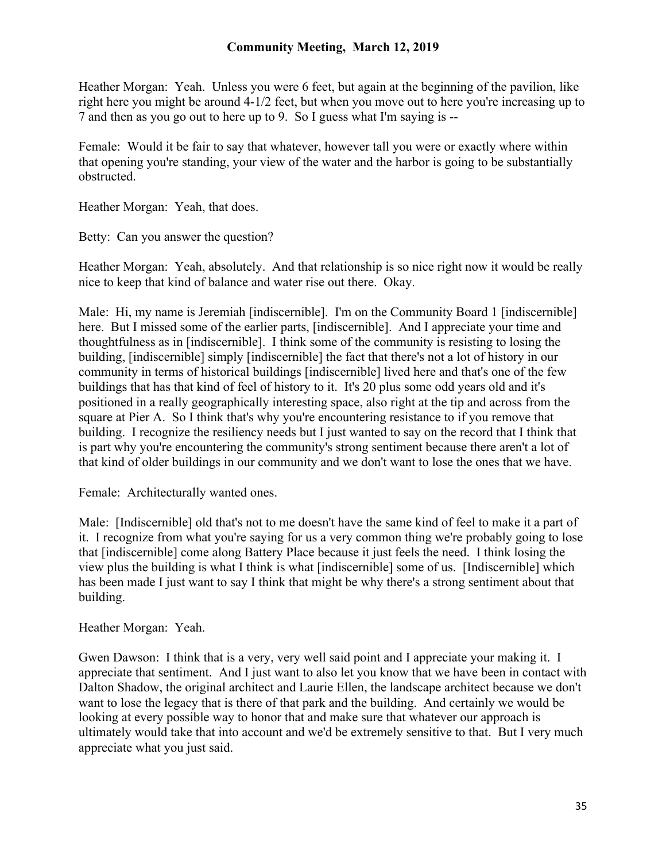Heather Morgan: Yeah. Unless you were 6 feet, but again at the beginning of the pavilion, like right here you might be around 4-1/2 feet, but when you move out to here you're increasing up to 7 and then as you go out to here up to 9. So I guess what I'm saying is --

Female: Would it be fair to say that whatever, however tall you were or exactly where within that opening you're standing, your view of the water and the harbor is going to be substantially obstructed.

Heather Morgan: Yeah, that does.

Betty: Can you answer the question?

Heather Morgan: Yeah, absolutely. And that relationship is so nice right now it would be really nice to keep that kind of balance and water rise out there. Okay.

Male: Hi, my name is Jeremiah [indiscernible]. I'm on the Community Board 1 [indiscernible] here. But I missed some of the earlier parts, [indiscernible]. And I appreciate your time and thoughtfulness as in [indiscernible]. I think some of the community is resisting to losing the building, [indiscernible] simply [indiscernible] the fact that there's not a lot of history in our community in terms of historical buildings [indiscernible] lived here and that's one of the few buildings that has that kind of feel of history to it. It's 20 plus some odd years old and it's positioned in a really geographically interesting space, also right at the tip and across from the square at Pier A. So I think that's why you're encountering resistance to if you remove that building. I recognize the resiliency needs but I just wanted to say on the record that I think that is part why you're encountering the community's strong sentiment because there aren't a lot of that kind of older buildings in our community and we don't want to lose the ones that we have.

Female: Architecturally wanted ones.

Male: [Indiscernible] old that's not to me doesn't have the same kind of feel to make it a part of it. I recognize from what you're saying for us a very common thing we're probably going to lose that [indiscernible] come along Battery Place because it just feels the need. I think losing the view plus the building is what I think is what [indiscernible] some of us. [Indiscernible] which has been made I just want to say I think that might be why there's a strong sentiment about that building.

Heather Morgan: Yeah.

Gwen Dawson: I think that is a very, very well said point and I appreciate your making it. I appreciate that sentiment. And I just want to also let you know that we have been in contact with Dalton Shadow, the original architect and Laurie Ellen, the landscape architect because we don't want to lose the legacy that is there of that park and the building. And certainly we would be looking at every possible way to honor that and make sure that whatever our approach is ultimately would take that into account and we'd be extremely sensitive to that. But I very much appreciate what you just said.